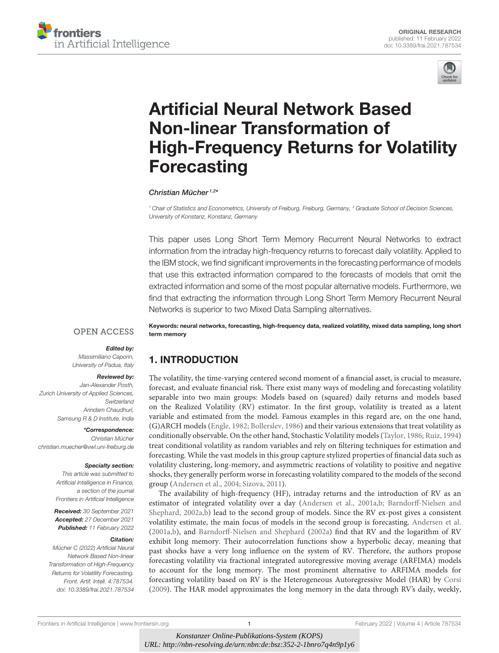



# Artificial Neural Network Based Non-linear Transformation of [High-Frequency Returns for Volatility](https://www.frontiersin.org/articles/10.3389/frai.2021.787534/full) **Forecasting**

Christian Mücher<sup>1,2\*</sup>

<sup>1</sup> Chair of Statistics and Econometrics, University of Freiburg, Freiburg, Germany, <sup>2</sup> Graduate School of Decision Sciences, University of Konstanz, Konstanz, Germany

This paper uses Long Short Term Memory Recurrent Neural Networks to extract information from the intraday high-frequency returns to forecast daily volatility. Applied to the IBM stock, we find significant improvements in the forecasting performance of models that use this extracted information compared to the forecasts of models that omit the extracted information and some of the most popular alternative models. Furthermore, we find that extracting the information through Long Short Term Memory Recurrent Neural Networks is superior to two Mixed Data Sampling alternatives.

**OPEN ACCESS** 

#### Edited by:

Massimiliano Caporin, University of Padua, Italy

#### Reviewed by:

Jan-Alexander Posth, Zurich University of Applied Sciences, **Switzerland** Arindam Chaudhuri, Samsung R & D Institute, India

\*Correspondence: Christian Mücher [christian.muecher@vwl.uni-freiburg.de](mailto:christian.muecher@vwl.uni-freiburg.de)

#### Specialty section:

This article was submitted to Artificial Intelligence in Finance, a section of the journal Frontiers in Artificial Intelligence

Received: 30 September 2021 Accepted: 27 December 2021 Published: 11 February 2022

#### Citation:

Mücher C (2022) Artificial Neural Network Based Non-linear Transformation of High-Frequency Returns for Volatility Forecasting. Front. Artif. Intell. 4:787534. doi: [10.3389/frai.2021.787534](https://doi.org/10.3389/frai.2021.787534)

Keywords: neural networks, forecasting, high-frequency data, realized volatility, mixed data sampling, long short term memory

# 1. INTRODUCTION

The volatility, the time-varying centered second moment of a financial asset, is crucial to measure, forecast, and evaluate financial risk. There exist many ways of modeling and forecasting volatility separable into two main groups: Models based on (squared) daily returns and models based on the Realized Volatility (RV) estimator. In the first group, volatility is treated as a latent variable and estimated from the model. Famous examples in this regard are, on the one hand, (G)ARCH models [\(Engle, 1982;](#page-16-0) [Bollerslev, 1986\)](#page-16-1) and their various extensions that treat volatility as conditionally observable. On the other hand, Stochastic Volatility models [\(Taylor, 1986;](#page-17-0) [Ruiz, 1994\)](#page-17-1) treat conditional volatility as random variables and rely on filtering techniques for estimation and forecasting. While the vast models in this group capture stylized properties of financial data such as volatility clustering, long-memory, and asymmetric reactions of volatility to positive and negative shocks, they generally perform worse in forecasting volatility compared to the models of the second group [\(Andersen et al., 2004;](#page-16-2) [Sizova, 2011\)](#page-17-2).

The availability of high-frequency (HF), intraday returns and the introduction of RV as an estimator of integrated volatility over a day [\(Andersen et al., 2001a,](#page-16-3)[b;](#page-16-4) Barndorff-Nielsen and Shephard, [2002a,](#page-16-5)[b\)](#page-16-6) lead to the second group of models. Since the RV ex-post gives a consistent volatility estimate, the main focus of models in the second group is forecasting. [Andersen et al.](#page-16-3) [\(2001a](#page-16-3)[,b\)](#page-16-4), and [Barndorff-Nielsen and Shephard](#page-16-5) [\(2002a\)](#page-16-5) find that RV and the logarithm of RV exhibit long memory. Their autocorrelation functions show a hyperbolic decay, meaning that past shocks have a very long influence on the system of RV. Therefore, the authors propose forecasting volatility via fractional integrated autoregressive moving average (ARFIMA) models to account for the long memory. The most prominent alternative to ARFIMA models for forecasting volatility based on RV is the Heterogeneous Autoregressive Model (HAR) by [Corsi](#page-16-7) [\(2009\)](#page-16-7). The HAR model approximates the long memory in the data through RV's daily, weekly,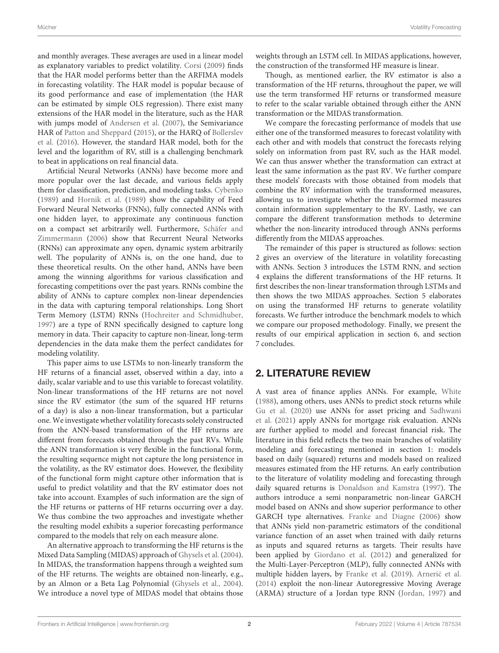and monthly averages. These averages are used in a linear model as explanatory variables to predict volatility. [Corsi](#page-16-7) [\(2009\)](#page-16-7) finds that the HAR model performs better than the ARFIMA models in forecasting volatility. The HAR model is popular because of its good performance and ease of implementation (the HAR can be estimated by simple OLS regression). There exist many extensions of the HAR model in the literature, such as the HAR with jumps model of [Andersen et al.](#page-16-8) [\(2007\)](#page-16-8), the Semivariance HAR of [Patton and Sheppard](#page-17-3) [\(2015\)](#page-17-3), or the HARQ of Bollerslev et al. [\(2016\)](#page-16-9). However, the standard HAR model, both for the level and the logarithm of RV, still is a challenging benchmark to beat in applications on real financial data.

Artificial Neural Networks (ANNs) have become more and more popular over the last decade, and various fields apply them for classification, prediction, and modeling tasks. [Cybenko](#page-16-10) [\(1989\)](#page-16-10) and [Hornik et al.](#page-17-4) [\(1989\)](#page-17-4) show the capability of Feed Forward Neural Networks (FNNs), fully connected ANNs with one hidden layer, to approximate any continuous function on a compact set arbitrarily well. Furthermore, Schäfer and Zimmermann [\(2006\)](#page-17-5) show that Recurrent Neural Networks (RNNs) can approximate any open, dynamic system arbitrarily well. The popularity of ANNs is, on the one hand, due to these theoretical results. On the other hand, ANNs have been among the winning algorithms for various classification and forecasting competitions over the past years. RNNs combine the ability of ANNs to capture complex non-linear dependencies in the data with capturing temporal relationships. Long Short Term Memory (LSTM) RNNs [\(Hochreiter and Schmidhuber,](#page-17-6) [1997\)](#page-17-6) are a type of RNN specifically designed to capture long memory in data. Their capacity to capture non-linear, long-term dependencies in the data make them the perfect candidates for modeling volatility.

This paper aims to use LSTMs to non-linearly transform the HF returns of a financial asset, observed within a day, into a daily, scalar variable and to use this variable to forecast volatility. Non-linear transformations of the HF returns are not novel since the RV estimator (the sum of the squared HF returns of a day) is also a non-linear transformation, but a particular one. We investigate whether volatility forecasts solely constructed from the ANN-based transformation of the HF returns are different from forecasts obtained through the past RVs. While the ANN transformation is very flexible in the functional form, the resulting sequence might not capture the long persistence in the volatility, as the RV estimator does. However, the flexibility of the functional form might capture other information that is useful to predict volatility and that the RV estimator does not take into account. Examples of such information are the sign of the HF returns or patterns of HF returns occurring over a day. We thus combine the two approaches and investigate whether the resulting model exhibits a superior forecasting performance compared to the models that rely on each measure alone.

An alternative approach to transforming the HF returns is the Mixed Data Sampling (MIDAS) approach of [Ghysels et al.](#page-16-11) [\(2004\)](#page-16-11). In MIDAS, the transformation happens through a weighted sum of the HF returns. The weights are obtained non-linearly, e.g., by an Almon or a Beta Lag Polynomial [\(Ghysels et al., 2004\)](#page-16-11). We introduce a novel type of MIDAS model that obtains those weights through an LSTM cell. In MIDAS applications, however, the construction of the transformed HF measure is linear.

Though, as mentioned earlier, the RV estimator is also a transformation of the HF returns, throughout the paper, we will use the term transformed HF returns or transformed measure to refer to the scalar variable obtained through either the ANN transformation or the MIDAS transformation.

We compare the forecasting performance of models that use either one of the transformed measures to forecast volatility with each other and with models that construct the forecasts relying solely on information from past RV, such as the HAR model. We can thus answer whether the transformation can extract at least the same information as the past RV. We further compare these models' forecasts with those obtained from models that combine the RV information with the transformed measures, allowing us to investigate whether the transformed measures contain information supplementary to the RV. Lastly, we can compare the different transformation methods to determine whether the non-linearity introduced through ANNs performs differently from the MIDAS approaches.

The remainder of this paper is structured as follows: section 2 gives an overview of the literature in volatility forecasting with ANNs. Section 3 introduces the LSTM RNN, and section 4 explains the different transformations of the HF returns. It first describes the non-linear transformation through LSTMs and then shows the two MIDAS approaches. Section 5 elaborates on using the transformed HF returns to generate volatility forecasts. We further introduce the benchmark models to which we compare our proposed methodology. Finally, we present the results of our empirical application in section 6, and section 7 concludes.

# 2. LITERATURE REVIEW

A vast area of finance applies ANNs. For example, [White](#page-17-7) [\(1988\)](#page-17-7), among others, uses ANNs to predict stock returns while [Gu et al.](#page-16-12) [\(2020\)](#page-16-12) use ANNs for asset pricing and Sadhwani et al. [\(2021\)](#page-17-8) apply ANNs for mortgage risk evaluation. ANNs are further applied to model and forecast financial risk. The literature in this field reflects the two main branches of volatility modeling and forecasting mentioned in section 1: models based on daily (squared) returns and models based on realized measures estimated from the HF returns. An early contribution to the literature of volatility modeling and forecasting through daily squared returns is [Donaldson and Kamstra](#page-16-13) [\(1997\)](#page-16-13). The authors introduce a semi nonparametric non-linear GARCH model based on ANNs and show superior performance to other GARCH type alternatives. [Franke and Diagne](#page-16-14) [\(2006\)](#page-16-14) show that ANNs yield non-parametric estimators of the conditional variance function of an asset when trained with daily returns as inputs and squared returns as targets. Their results have been applied by [Giordano et al.](#page-16-15) [\(2012\)](#page-16-15) and generalized for the Multi-Layer-Perceptron (MLP), fully connected ANNs with multiple hidden layers, by [Franke et al.](#page-16-16) [\(2019\)](#page-16-16). Arnerić et al. [\(2014\)](#page-16-17) exploit the non-linear Autoregressive Moving Average (ARMA) structure of a Jordan type RNN [\(Jordan, 1997\)](#page-17-9) and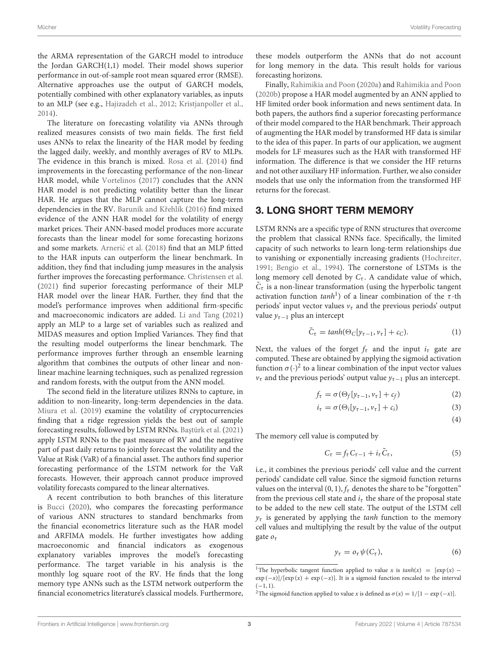the ARMA representation of the GARCH model to introduce the Jordan GARCH(1,1) model. Their model shows superior performance in out-of-sample root mean squared error (RMSE). Alternative approaches use the output of GARCH models, potentially combined with other explanatory variables, as inputs to an MLP (see e.g., [Hajizadeh et al., 2012;](#page-16-18) [Kristjanpoller et al.,](#page-17-10) [2014\)](#page-17-10).

The literature on forecasting volatility via ANNs through realized measures consists of two main fields. The first field uses ANNs to relax the linearity of the HAR model by feeding the lagged daily, weekly, and monthly averages of RV to MLPs. The evidence in this branch is mixed. [Rosa et al.](#page-17-11) [\(2014\)](#page-17-11) find improvements in the forecasting performance of the non-linear HAR model, while [Vortelinos](#page-17-12) [\(2017\)](#page-17-12) concludes that the ANN HAR model is not predicting volatility better than the linear HAR. He argues that the MLP cannot capture the long-term dependencies in the RV. Baruník and Křehlík [\(2016\)](#page-16-19) find mixed evidence of the ANN HAR model for the volatility of energy market prices. Their ANN-based model produces more accurate forecasts than the linear model for some forecasting horizons and some markets. [Arneric et al.](#page-16-20) [\(2018\)](#page-16-20) find that an MLP fitted to the HAR inputs can outperform the linear benchmark. In addition, they find that including jump measures in the analysis further improves the forecasting performance. [Christensen et al.](#page-16-21) [\(2021\)](#page-16-21) find superior forecasting performance of their MLP HAR model over the linear HAR. Further, they find that the model's performance improves when additional firm-specific and macroeconomic indicators are added. [Li and Tang](#page-17-13) [\(2021\)](#page-17-13) apply an MLP to a large set of variables such as realized and MIDAS measures and option Implied Variances. They find that the resulting model outperforms the linear benchmark. The performance improves further through an ensemble learning algorithm that combines the outputs of other linear and nonlinear machine learning techniques, such as penalized regression and random forests, with the output from the ANN model.

The second field in the literature utilizes RNNs to capture, in addition to non-linearity, long-term dependencies in the data. [Miura et al.](#page-17-14) [\(2019\)](#page-17-14) examine the volatility of cryptocurrencies finding that a ridge regression yields the best out of sample forecasting results, followed by LSTM RNNs. Baştürk et al. [\(2021\)](#page-16-22) apply LSTM RNNs to the past measure of RV and the negative part of past daily returns to jointly forecast the volatility and the Value at Risk (VaR) of a financial asset. The authors find superior forecasting performance of the LSTM network for the VaR forecasts. However, their approach cannot produce improved volatility forecasts compared to the linear alternatives.

A recent contribution to both branches of this literature is [Bucci](#page-16-23) [\(2020\)](#page-16-23), who compares the forecasting performance of various ANN structures to standard benchmarks from the financial econometrics literature such as the HAR model and ARFIMA models. He further investigates how adding macroeconomic and financial indicators as exogenous explanatory variables improves the model's forecasting performance. The target variable in his analysis is the monthly log square root of the RV. He finds that the long memory type ANNs such as the LSTM network outperform the financial econometrics literature's classical models. Furthermore, these models outperform the ANNs that do not account for long memory in the data. This result holds for various forecasting horizons.

Finally, [Rahimikia and Poon](#page-17-15) [\(2020a\)](#page-17-15) and [Rahimikia and Poon](#page-17-16) [\(2020b\)](#page-17-16) propose a HAR model augmented by an ANN applied to HF limited order book information and news sentiment data. In both papers, the authors find a superior forecasting performance of their model compared to the HAR benchmark. Their approach of augmenting the HAR model by transformed HF data is similar to the idea of this paper. In parts of our application, we augment models for LF measures such as the HAR with transformed HF information. The difference is that we consider the HF returns and not other auxiliary HF information. Further, we also consider models that use only the information from the transformed HF returns for the forecast.

## 3. LONG SHORT TERM MEMORY

LSTM RNNs are a specific type of RNN structures that overcome the problem that classical RNNs face. Specifically, the limited capacity of such networks to learn long-term relationships due to vanishing or exponentially increasing gradients [\(Hochreiter,](#page-17-17) [1991;](#page-17-17) [Bengio et al., 1994\)](#page-16-24). The cornerstone of LSTMs is the long memory cell denoted by  $C_{\tau}$ . A candidate value of which,  $C_{\tau}$  is a non-linear transformation (using the hyperbolic tangent activation function  $tanh^1$  $tanh^1$ ) of a linear combination of the  $\tau$ -th periods' input vector values  $v<sub>\tau</sub>$  and the previous periods' output value  $y_{\tau-1}$  plus an intercept

$$
\tilde{C}_{\tau} = \tanh(\Theta_C[y_{\tau-1}, v_{\tau}] + c_C). \tag{1}
$$

Next, the values of the forget  $f_{\tau}$  and the input  $i_{\tau}$  gate are computed. These are obtained by applying the sigmoid activation function  $\sigma(\cdot)^2$  $\sigma(\cdot)^2$  to a linear combination of the input vector values  $v<sub>τ</sub>$  and the previous periods' output value  $y<sub>τ−1</sub>$  plus an intercept.

$$
f_{\tau} = \sigma(\Theta_f[y_{\tau-1}, v_{\tau}] + c_f)
$$
 (2)

$$
i_{\tau} = \sigma(\Theta_i[y_{\tau-1}, v_{\tau}] + c_i)
$$
 (3)

(4)

The memory cell value is computed by

$$
C_{\tau} = f_{\tau} C_{\tau-1} + i_{\tau} \tilde{C}_{\tau}, \qquad (5)
$$

i.e., it combines the previous periods' cell value and the current periods' candidate cell value. Since the sigmoid function returns values on the interval  $(0, 1)$ ,  $f<sub>\tau</sub>$  denotes the share to be "forgotten" from the previous cell state and  $i<sub>\tau</sub>$  the share of the proposal state to be added to the new cell state. The output of the LSTM cell  $y<sub>\tau</sub>$  is generated by applying the tanh function to the memory cell values and multiplying the result by the value of the output gate  $o<sub>\tau</sub>$ 

$$
y_{\tau} = o_{\tau} \psi(C_{\tau}), \tag{6}
$$

<span id="page-2-0"></span><sup>&</sup>lt;sup>1</sup>The hyperbolic tangent function applied to value x is  $tanh(x) = [exp(x) \exp(-x)]/[\exp(x) + \exp(-x)]$ . It is a sigmoid function rescaled to the interval  $(-1, 1)$ .

<span id="page-2-1"></span><sup>&</sup>lt;sup>2</sup>The sigmoid function applied to value x is defined as  $\sigma(x) = 1/[1 - \exp(-x)].$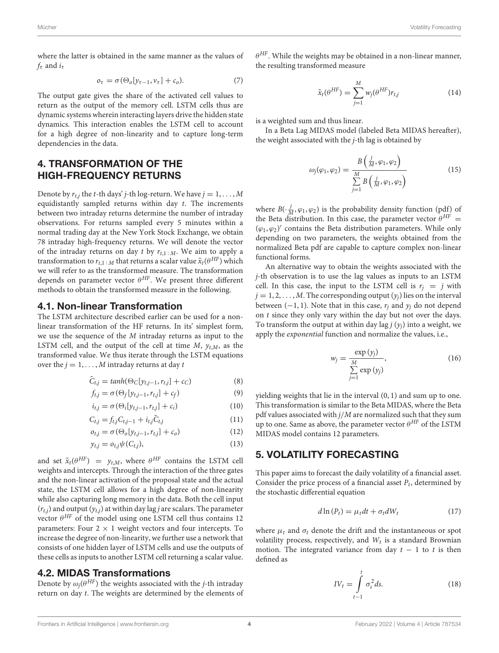where the latter is obtained in the same manner as the values of  $f_\tau$  and  $i_\tau$ 

$$
\sigma_{\tau} = \sigma(\Theta_o[y_{\tau-1}, v_{\tau}] + c_o). \tag{7}
$$

The output gate gives the share of the activated cell values to return as the output of the memory cell. LSTM cells thus are dynamic systems wherein interacting layers drive the hidden state dynamics. This interaction enables the LSTM cell to account for a high degree of non-linearity and to capture long-term dependencies in the data.

# 4. TRANSFORMATION OF THE HIGH-FREQUENCY RETURNS

Denote by  $r_{t,j}$  the t-th days' j-th log-return. We have  $j = 1, ..., M$ equidistantly sampled returns within day t. The increments between two intraday returns determine the number of intraday observations. For returns sampled every 5 minutes within a normal trading day at the New York Stock Exchange, we obtain 78 intraday high-frequency returns. We will denote the vector of the intraday returns on day t by  $r_{t,1:M}$ . We aim to apply a transformation to  $r_{t,1:M}$  that returns a scalar value  $\tilde{x}_t(\theta^{HF})$  which we will refer to as the transformed measure. The transformation depends on parameter vector  $\theta^{HF}$ . We present three different methods to obtain the transformed measure in the following.

## 4.1. Non-linear Transformation

The LSTM architecture described earlier can be used for a nonlinear transformation of the HF returns. In its' simplest form, we use the sequence of the M intraday returns as input to the LSTM cell, and the output of the cell at time  $M$ ,  $y_{t,M}$ , as the transformed value. We thus iterate through the LSTM equations over the  $j = 1, \ldots, M$  intraday returns at day t

$$
\tilde{C}_{t,j} = \tanh(\Theta_C[y_{t,j-1}, r_{t,j}] + c_C)
$$
\n(8)

$$
f_{t,j} = \sigma(\Theta_f[y_{t,j-1}, r_{t,j}] + c_f)
$$
\n(9)

$$
i_{t,j} = \sigma(\Theta_i[y_{t,j-1}, r_{t,j}] + c_i)
$$
\n(10)

$$
C_{t,j} = f_{t,j} C_{t,j-1} + i_{t,j} \tilde{C}_{t,j}
$$
 (11)

$$
o_{t,j} = \sigma(\Theta_o[y_{t,j-1}, r_{t,j}] + c_o)
$$
\n(12)

$$
y_{t,j} = o_{t,j} \psi(C_{t,j}), \tag{13}
$$

and set  $\tilde{x}_t(\theta^{HF}) = y_{t,M}$ , where  $\theta^{HF}$  contains the LSTM cell weights and intercepts. Through the interaction of the three gates and the non-linear activation of the proposal state and the actual state, the LSTM cell allows for a high degree of non-linearity while also capturing long memory in the data. Both the cell input  $(r_{t,j})$  and output  $(y_{t,j})$  at within day lag *j* are scalars. The parameter vector  $\theta^{HF}$  of the model using one LSTM cell thus contains 12 parameters: Four  $2 \times 1$  weight vectors and four intercepts. To increase the degree of non-linearity, we further use a network that consists of one hidden layer of LSTM cells and use the outputs of these cells as inputs to another LSTM cell returning a scalar value.

# 4.2. MIDAS Transformations

Denote by  $\omega_j(\theta^{HF})$  the weights associated with the j-th intraday return on day t. The weights are determined by the elements of

 $\theta^{HF}$ . While the weights may be obtained in a non-linear manner, the resulting transformed measure

$$
\tilde{x}_t(\theta^{HF}) = \sum_{j=1}^M w_j(\theta^{HF}) r_{t,j}
$$
\n(14)

is a weighted sum and thus linear.

In a Beta Lag MIDAS model (labeled Beta MIDAS hereafter), the weight associated with the j-th lag is obtained by

$$
\omega_j(\varphi_1, \varphi_2) = \frac{B\left(\frac{j}{M}, \varphi_1, \varphi_2\right)}{\sum\limits_{j=1}^M B\left(\frac{j}{M}, \varphi_1, \varphi_2\right)}
$$
(15)

where  $B(\cdot \frac{j}{M}, \varphi_1, \varphi_2)$  is the probability density function (pdf) of the Beta distribution. In this case, the parameter vector  $\theta^{HF}$  =  $(\varphi_1, \varphi_2)'$  contains the Beta distribution parameters. While only depending on two parameters, the weights obtained from the normalized Beta pdf are capable to capture complex non-linear functional forms.

An alternative way to obtain the weights associated with the j-th observation is to use the lag values as inputs to an LSTM cell. In this case, the input to the LSTM cell is  $r_i = j$  with  $j = 1, 2, \ldots, M$ . The corresponding output  $(y_i)$  lies on the interval between  $(-1, 1)$ . Note that in this case,  $r_i$  and  $y_i$  do not depend on  $t$  since they only vary within the day but not over the days. To transform the output at within day lag  $j(y_i)$  into a weight, we apply the exponential function and normalize the values, i.e.,

$$
w_j = \frac{\exp{(y_j)}}{\sum_{j=1}^{M} \exp{(y_j)}},
$$
\n(16)

yielding weights that lie in the interval (0, 1) and sum up to one. This transformation is similar to the Beta MIDAS, where the Beta pdf values associated with  $j/M$  are normalized such that they sum up to one. Same as above, the parameter vector  $\theta^{HF}$  of the LSTM MIDAS model contains 12 parameters.

## 5. VOLATILITY FORECASTING

This paper aims to forecast the daily volatility of a financial asset. Consider the price process of a financial asset  $P_t$ , determined by the stochastic differential equation

$$
d\ln(P_t) = \mu_t dt + \sigma_t dW_t \tag{17}
$$

where  $\mu_t$  and  $\sigma_t$  denote the drift and the instantaneous or spot volatility process, respectively, and  $W_t$  is a standard Brownian motion. The integrated variance from day  $t - 1$  to t is then defined as

$$
IV_t = \int_{t-1}^t \sigma_s^2 ds.
$$
 (18)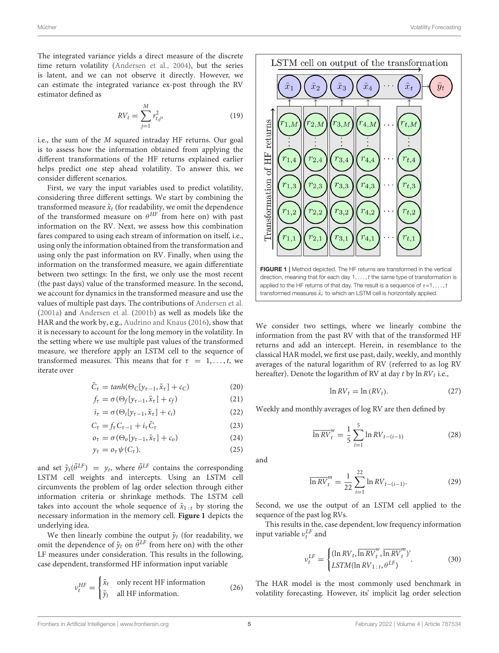The integrated variance yields a direct measure of the discrete time return volatility [\(Andersen et al., 2004\)](#page-16-2), but the series is latent, and we can not observe it directly. However, we can estimate the integrated variance ex-post through the RV estimator defined as

$$
RV_t = \sum_{j=1}^{M} r_{t,j}^2,
$$
 (19)

i.e., the sum of the M squared intraday HF returns. Our goal is to assess how the information obtained from applying the different transformations of the HF returns explained earlier helps predict one step ahead volatility. To answer this, we consider different scenarios.

First, we vary the input variables used to predict volatility, considering three different settings. We start by combining the transformed measure  $\tilde{x}_t$  (for readability, we omit the dependence of the transformed measure on  $\theta^{HF}$  from here on) with past information on the RV. Next, we assess how this combination fares compared to using each stream of information on itself, i.e., using only the information obtained from the transformation and using only the past information on RV. Finally, when using the information on the transformed measure, we again differentiate between two settings: In the first, we only use the most recent (the past days) value of the transformed measure. In the second, we account for dynamics in the transformed measure and use the values of multiple past days. The contributions of [Andersen et al.](#page-16-3) [\(2001a\)](#page-16-3) and [Andersen et al.](#page-16-4) [\(2001b\)](#page-16-4) as well as models like the HAR and the work by, e.g., [Audrino and Knaus](#page-16-25) [\(2016\)](#page-16-25), show that it is necessary to account for the long memory in the volatility. In the setting where we use multiple past values of the transformed measure, we therefore apply an LSTM cell to the sequence of transformed measures. This means that for  $\tau = 1, \ldots, t$ , we iterate over

$$
\tilde{C}_{\tau} = \tanh(\Theta_C[y_{\tau-1}, \tilde{x}_{\tau}] + c_C) \tag{20}
$$

$$
f_{\tau} = \sigma(\Theta_f[y_{\tau-1}, \tilde{x}_{\tau}] + c_f)
$$
 (21)

$$
i_{\tau} = \sigma(\Theta_i[y_{\tau-1}, \tilde{x}_{\tau}] + c_i)
$$
 (22)

$$
C_{\tau} = f_{\tau} C_{\tau - 1} + i_{\tau} \tilde{C}_{\tau}
$$
 (23)

$$
\sigma_{\tau} = \sigma(\Theta_o[y_{\tau-1}, \tilde{x}_{\tau}] + c_o)
$$
 (24)

$$
y_{\tau} = o_{\tau} \psi(C_{\tau}). \tag{25}
$$

and set  $\tilde{y}_t(\tilde{\theta}^{LF}) = y_t$ , where  $\tilde{\theta}^{LF}$  contains the corresponding LSTM cell weights and intercepts. Using an LSTM cell circumvents the problem of lag order selection through either information criteria or shrinkage methods. The LSTM cell takes into account the whole sequence of  $\tilde{x}_{1:t}$  by storing the necessary information in the memory cell. **[Figure 1](#page-4-0)** depicts the underlying idea.

We then linearly combine the output  $\tilde{y}_t$  (for readability, we omit the dependence of  $\tilde{y}_t$  on  $\tilde{\theta}^{LF}$  from here on) with the other LF measures under consideration. This results in the following, case dependent, transformed HF information input variable

$$
v_t^{HF} = \begin{cases} \tilde{x}_t & \text{only recent HF information} \\ \tilde{y}_t & \text{all HF information.} \end{cases}
$$
 (26)



<span id="page-4-0"></span>We consider two settings, where we linearly combine the information from the past RV with that of the transformed HF returns and add an intercept. Herein, in resemblance to the classical HAR model, we first use past, daily, weekly, and monthly averages of the natural logarithm of RV (referred to as log RV hereafter). Denote the logarithm of RV at day  $t$  by  $\ln RV_t$  i.e.,

$$
\ln RV_t = \ln (RV_t). \tag{27}
$$

Weekly and monthly averages of log RV are then defined by

$$
\overline{\ln RV}_{t}^{w} = \frac{1}{5} \sum_{i=1}^{5} \ln RV_{t-(i-1)}
$$
 (28)

and

$$
\overline{\ln RV}_t^m = \frac{1}{22} \sum_{i=1}^{22} \ln RV_{t-(i-1)}.
$$
 (29)

Second, we use the output of an LSTM cell applied to the sequence of the past log RVs.

This results in the, case dependent, low frequency information input variable  $v_t^{LF}$  and

$$
\nu_t^{LF} = \begin{cases} (\ln RV_t, \overline{\ln RV}_t^w, \overline{\ln RV}_t^m)' \\ LSTM(\ln RV_{1:t}, \theta^{LF}) \end{cases} (30)
$$

The HAR model is the most commonly used benchmark in volatility forecasting. However, its' implicit lag order selection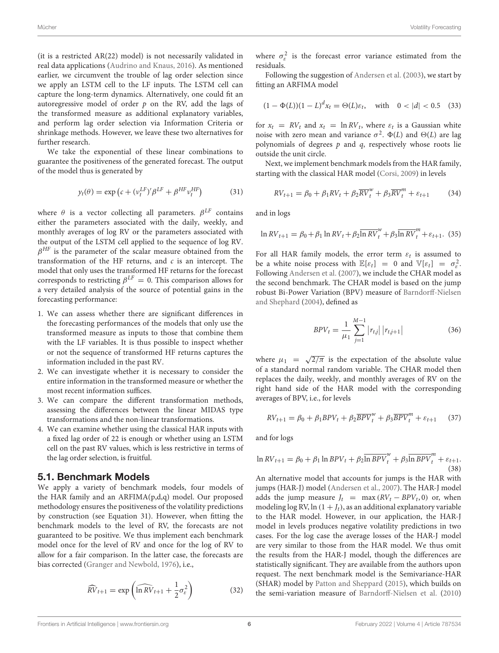(it is a restricted AR(22) model) is not necessarily validated in real data applications [\(Audrino and Knaus, 2016\)](#page-16-25). As mentioned earlier, we circumvent the trouble of lag order selection since we apply an LSTM cell to the LF inputs. The LSTM cell can capture the long-term dynamics. Alternatively, one could fit an autoregressive model of order  $p$  on the RV, add the lags of the transformed measure as additional explanatory variables, and perform lag order selection via Information Criteria or shrinkage methods. However, we leave these two alternatives for further research.

We take the exponential of these linear combinations to guarantee the positiveness of the generated forecast. The output of the model thus is generated by

$$
y_t(\theta) = \exp\left(c + (\nu_t^{LF})'\beta^{LF} + \beta^{HF}\nu_t^{HF}\right) \tag{31}
$$

where  $\theta$  is a vector collecting all parameters.  $\beta^{LF}$  contains either the parameters associated with the daily, weekly, and monthly averages of log RV or the parameters associated with the output of the LSTM cell applied to the sequence of log RV.  $\beta^{HF}$  is the parameter of the scalar measure obtained from the transformation of the HF returns, and  $c$  is an intercept. The model that only uses the transformed HF returns for the forecast corresponds to restricting  $\beta^{LF} = 0$ . This comparison allows for a very detailed analysis of the source of potential gains in the forecasting performance:

- 1. We can assess whether there are significant differences in the forecasting performances of the models that only use the transformed measure as inputs to those that combine them with the LF variables. It is thus possible to inspect whether or not the sequence of transformed HF returns captures the information included in the past RV.
- 2. We can investigate whether it is necessary to consider the entire information in the transformed measure or whether the most recent information suffices.
- 3. We can compare the different transformation methods, assessing the differences between the linear MIDAS type transformations and the non-linear transformations.
- 4. We can examine whether using the classical HAR inputs with a fixed lag order of 22 is enough or whether using an LSTM cell on the past RV values, which is less restrictive in terms of the lag order selection, is fruitful.

#### 5.1. Benchmark Models

We apply a variety of benchmark models, four models of the HAR family and an ARFIMA(p,d,q) model. Our proposed methodology ensures the positiveness of the volatility predictions by construction (see Equation 31). However, when fitting the benchmark models to the level of RV, the forecasts are not guaranteed to be positive. We thus implement each benchmark model once for the level of RV and once for the log of RV to allow for a fair comparison. In the latter case, the forecasts are bias corrected [\(Granger and Newbold, 1976\)](#page-16-26), i.e.,

$$
\widehat{RV}_{t+1} = \exp\left(\widehat{\ln RV}_{t+1} + \frac{1}{2}\sigma_{\varepsilon}^2\right)
$$
 (32)

where  $\sigma_{\varepsilon}^2$  is the forecast error variance estimated from the residuals.

Following the suggestion of [Andersen et al.](#page-16-27) [\(2003\)](#page-16-27), we start by fitting an ARFIMA model

$$
(1 - \Phi(L))(1 - L)^{d} x_t = \Theta(L)\varepsilon_t, \quad \text{with} \quad 0 < |d| < 0.5 \tag{33}
$$

for  $x_t = RV_t$  and  $x_t = \ln RV_t$ , where  $\varepsilon_t$  is a Gaussian white noise with zero mean and variance  $\sigma^2$ .  $\Phi(L)$  and  $\Theta(L)$  are lag polynomials of degrees  $p$  and  $q$ , respectively whose roots lie outside the unit circle.

Next, we implement benchmark models from the HAR family, starting with the classical HAR model [\(Corsi, 2009\)](#page-16-7) in levels

$$
RV_{t+1} = \beta_0 + \beta_1 RV_t + \beta_2 \overline{RV}_t^W + \beta_3 \overline{RV}_t^m + \varepsilon_{t+1}
$$
 (34)

and in logs

$$
\ln RV_{t+1} = \beta_0 + \beta_1 \ln RV_t + \beta_2 \overline{\ln RV}_t^w + \beta_3 \overline{\ln RV}_t^m + \varepsilon_{t+1}.
$$
 (35)

For all HAR family models, the error term  $\varepsilon_t$  is assumed to be a white noise process with  $\mathbb{E}[\varepsilon_t] = 0$  and  $\mathbb{V}[\varepsilon_t] = \sigma_{\varepsilon}^2$ . Following [Andersen et al.](#page-16-8) [\(2007\)](#page-16-8), we include the CHAR model as the second benchmark. The CHAR model is based on the jump robust Bi-Power Variation (BPV) measure of Barndorff-Nielsen and Shephard [\(2004\)](#page-16-28), defined as

$$
BPV_{t} = \frac{1}{\mu_{1}} \sum_{j=1}^{M-1} |r_{t,j}| |r_{t,j+1}|
$$
 (36)

where  $\mu_1 = \sqrt{2/\pi}$  is the expectation of the absolute value of a standard normal random variable. The CHAR model then replaces the daily, weekly, and monthly averages of RV on the right hand side of the HAR model with the corresponding averages of BPV, i.e., for levels

$$
RV_{t+1} = \beta_0 + \beta_1 BPV_t + \beta_2 \overline{BPV}_t^w + \beta_3 \overline{BPV}_t^m + \varepsilon_{t+1} \qquad (37)
$$

and for logs

$$
\ln RV_{t+1} = \beta_0 + \beta_1 \ln BPV_t + \beta_2 \overline{\ln BPV}_t^w + \beta_3 \overline{\ln BPV}_t^m + \varepsilon_{t+1}.
$$
\n(38)

An alternative model that accounts for jumps is the HAR with jumps (HAR-J) model [\(Andersen et al., 2007\)](#page-16-8). The HAR-J model adds the jump measure  $J_t$  = max  $(RV_t - BPV_t, 0)$  or, when modeling log RV, ln  $(1 + J_t)$ , as an additional explanatory variable to the HAR model. However, in our application, the HAR-J model in levels produces negative volatility predictions in two cases. For the log case the average losses of the HAR-J model are very similar to those from the HAR model. We thus omit the results from the HAR-J model, though the differences are statistically significant. They are available from the authors upon request. The next benchmark model is the Semivariance-HAR (SHAR) model by [Patton and Sheppard](#page-17-3) [\(2015\)](#page-17-3), which builds on the semi-variation measure of [Barndorff-Nielsen et al.](#page-16-29) [\(2010\)](#page-16-29)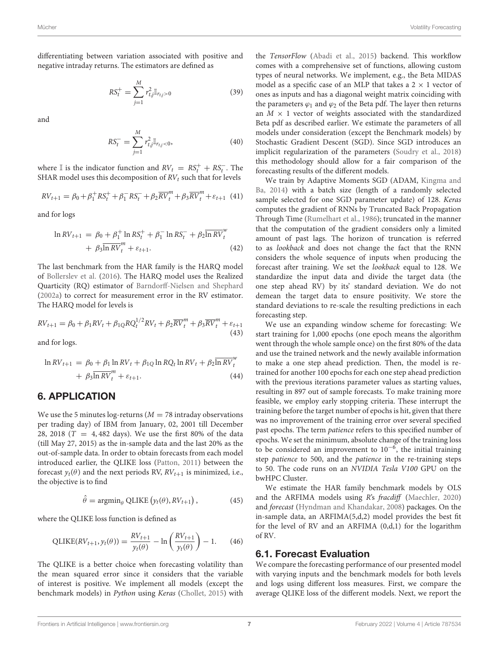differentiating between variation associated with positive and negative intraday returns. The estimators are defined as

$$
RS_t^+ = \sum_{j=1}^M r_{t,j}^2 \mathbb{I}_{r_{t,j} > 0}
$$
 (39)

and

$$
RS_t^- = \sum_{j=1}^{M} r_{t,j}^2 \mathbb{I}_{r_{t,j} < 0},\tag{40}
$$

where I is the indicator function and  $RV_t = RS_t^+ + RS_t^-$ . The SHAR model uses this decomposition of  $RV_t$  such that for levels

$$
RV_{t+1} = \beta_0 + \beta_1^+ RS_t^+ + \beta_1^- RS_t^- + \beta_2 \overline{RV}_t^m + \beta_3 \overline{RV}_t^m + \varepsilon_{t+1} \tag{41}
$$

and for logs

$$
\ln RV_{t+1} = \beta_0 + \beta_1^+ \ln RS_t^+ + \beta_1^- \ln RS_t^- + \beta_2 \overline{\ln RV}_t^w + \beta_3 \overline{\ln RV}_t^m + \varepsilon_{t+1}.
$$
\n(42)

The last benchmark from the HAR family is the HARQ model of [Bollerslev et al.](#page-16-9) [\(2016\)](#page-16-9). The HARQ model uses the Realized Quarticity (RQ) estimator of [Barndorff-Nielsen and Shephard](#page-16-5) [\(2002a\)](#page-16-5) to correct for measurement error in the RV estimator. The HARQ model for levels is

$$
RV_{t+1} = \beta_0 + \beta_1 RV_t + \beta_{1Q} R Q_t^{1/2} RV_t + \beta_2 \overline{RV}_t^m + \beta_3 \overline{RV}_t^m + \varepsilon_{t+1}
$$
\n(43)

and for logs.

$$
\ln RV_{t+1} = \beta_0 + \beta_1 \ln RV_t + \beta_{1Q} \ln RQ_t \ln RV_t + \beta_2 \overline{\ln RV}_t^w + \beta_3 \overline{\ln RV}_t^m + \varepsilon_{t+1}.
$$
\n(44)

## 6. APPLICATION

We use the 5 minutes log-returns ( $M = 78$  intraday observations per trading day) of IBM from January, 02, 2001 till December 28, 2018 ( $T = 4,482$  days). We use the first 80% of the data (till May 27, 2015) as the in-sample data and the last 20% as the out-of-sample data. In order to obtain forecasts from each model introduced earlier, the QLIKE loss [\(Patton, 2011\)](#page-17-18) between the forecast  $y_t(\theta)$  and the next periods RV,  $RV_{t+1}$  is minimized, i.e., the objective is to find

$$
\hat{\theta} = \operatorname{argmin}_{\theta} \text{QLIKE}\left(y_t(\theta), RV_{t+1}\right),\tag{45}
$$

where the QLIKE loss function is defined as

$$
QLIKE(RV_{t+1}, y_t(\theta)) = \frac{RV_{t+1}}{y_t(\theta)} - \ln\left(\frac{RV_{t+1}}{y_t(\theta)}\right) - 1.
$$
 (46)

The QLIKE is a better choice when forecasting volatility than the mean squared error since it considers that the variable of interest is positive. We implement all models (except the benchmark models) in Python using Keras [\(Chollet, 2015\)](#page-16-30) with

the TensorFlow [\(Abadi et al., 2015\)](#page-16-31) backend. This workflow comes with a comprehensive set of functions, allowing custom types of neural networks. We implement, e.g., the Beta MIDAS model as a specific case of an MLP that takes a  $2 \times 1$  vector of ones as inputs and has a diagonal weight matrix coinciding with the parameters  $\varphi_1$  and  $\varphi_2$  of the Beta pdf. The layer then returns an  $M \times 1$  vector of weights associated with the standardized Beta pdf as described earlier. We estimate the parameters of all models under consideration (except the Benchmark models) by Stochastic Gradient Descent (SGD). Since SGD introduces an implicit regularization of the parameters [\(Soudry et al., 2018\)](#page-17-19) this methodology should allow for a fair comparison of the forecasting results of the different models.

We train by Adaptive Moments SGD (ADAM, Kingma and Ba, [2014\)](#page-17-20) with a batch size (length of a randomly selected sample selected for one SGD parameter update) of 128. Keras computes the gradient of RNNs by Truncated Back Propagation Through Time [\(Rumelhart et al., 1986\)](#page-17-21); truncated in the manner that the computation of the gradient considers only a limited amount of past lags. The horizon of truncation is referred to as lookback and does not change the fact that the RNN considers the whole sequence of inputs when producing the forecast after training. We set the lookback equal to 128. We standardize the input data and divide the target data (the one step ahead RV) by its' standard deviation. We do not demean the target data to ensure positivity. We store the standard deviations to re-scale the resulting predictions in each forecasting step.

We use an expanding window scheme for forecasting: We start training for 1,000 epochs (one epoch means the algorithm went through the whole sample once) on the first 80% of the data and use the trained network and the newly available information to make a one step ahead prediction. Then, the model is retrained for another 100 epochs for each one step ahead prediction with the previous iterations parameter values as starting values, resulting in 897 out of sample forecasts. To make training more feasible, we employ early stopping criteria. These interrupt the training before the target number of epochs is hit, given that there was no improvement of the training error over several specified past epochs. The term patience refers to this specified number of epochs. We set the minimum, absolute change of the training loss to be considered an improvement to  $10^{-6}$ , the initial training step patience to 500, and the patience in the re-training steps to 50. The code runs on an NVIDIA Tesla V100 GPU on the bwHPC Cluster.

We estimate the HAR family benchmark models by OLS and the ARFIMA models using R's fracdiff [\(Maechler, 2020\)](#page-17-22) and forecast [\(Hyndman and Khandakar, 2008\)](#page-17-23) packages. On the in-sample data, an ARFIMA(5,d,2) model provides the best fit for the level of RV and an ARFIMA (0,d,1) for the logarithm of RV.

### 6.1. Forecast Evaluation

We compare the forecasting performance of our presented model with varying inputs and the benchmark models for both levels and logs using different loss measures. First, we compare the average QLIKE loss of the different models. Next, we report the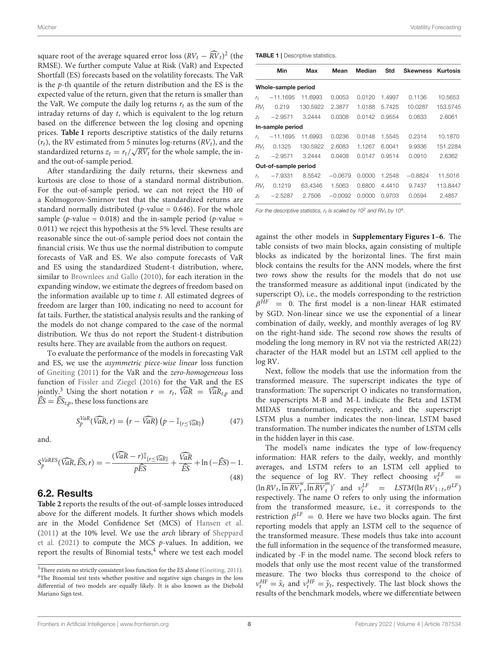square root of the average squared error loss  $(RV_t - \widehat{RV}_t)^2$  (the RMSE). We further compute Value at Risk (VaR) and Expected Shortfall (ES) forecasts based on the volatility forecasts. The VaR is the p-th quantile of the return distribution and the ES is the expected value of the return, given that the return is smaller than the VaR. We compute the daily log returns  $r_t$  as the sum of the intraday returns of day t, which is equivalent to the log return based on the difference between the log closing and opening prices. **[Table 1](#page-7-0)** reports descriptive statistics of the daily returns  $(r_t)$ , the RV estimated from 5 minutes log-returns  $(RV_t)$ , and the standardized returns  $z_t = r_t / \sqrt{RV_t}$  for the whole sample, the inand the out-of-sample period.

After standardizing the daily returns, their skewness and kurtosis are close to those of a standard normal distribution. For the out-of-sample period, we can not reject the H0 of a Kolmogorov-Smirnov test that the standardized returns are standard normally distributed ( $p$ -value = 0.646). For the whole sample (*p*-value = 0.018) and the in-sample period (*p*-value = 0.011) we reject this hypothesis at the 5% level. These results are reasonable since the out-of-sample period does not contain the financial crisis. We thus use the normal distribution to compute forecasts of VaR and ES. We also compute forecasts of VaR and ES using the standardized Student-t distribution, where, similar to [Brownlees and Gallo](#page-16-32) [\(2010\)](#page-16-32), for each iteration in the expanding window, we estimate the degrees of freedom based on the information available up to time t. All estimated degrees of freedom are larger than 100, indicating no need to account for fat tails. Further, the statistical analysis results and the ranking of the models do not change compared to the case of the normal distribution. We thus do not report the Student-t distribution results here. They are available from the authors on request.

To evaluate the performance of the models in forecasting VaR and ES, we use the asymmetric piece-wise linear loss function of [Gneiting](#page-16-33) [\(2011\)](#page-16-33) for the VaR and the zero-homogeneous loss function of [Fissler and Ziegel](#page-16-34) [\(2016\)](#page-16-34) for the VaR and the ES jointly.<sup>[3](#page-7-1)</sup> Using the short notation  $r = r_t$ ,  $\widehat{VaR} = \widehat{VaR}_{t,p}$  and  $\widehat{ES} = \widehat{ES}_{t,p}$ , these loss functions are

$$
S_p^{VaR}(\widehat{VaR}, r) = (r - \widehat{VaR}) (p - \mathbb{I}_{\{r \leq \widehat{VaR}\}})
$$
 (47)

and.

$$
S_p^{VaRES}(\widehat{VaR}, \widehat{ES}, r) = -\frac{(\widehat{VaR} - r)\mathbb{I}_{\{r \le \widehat{VaR}\}}}{p\widehat{ES}} + \frac{\widehat{VaR}}{\widehat{ES}} + \ln(-\widehat{ES}) - 1.
$$
\n(48)

# 6.2. Results

**[Table 2](#page-8-0)** reports the results of the out-of-sample losses introduced above for the different models. It further shows which models are in the Model Confidence Set (MCS) of [Hansen et al.](#page-17-24) [\(2011\)](#page-17-24) at the 10% level. We use the arch library of Sheppard et al. [\(2021\)](#page-17-25) to compute the MCS p-values. In addition, we report the results of Binomial tests,<sup>[4](#page-7-2)</sup> where we test each model <span id="page-7-0"></span>TABLE 1 | Descriptive statistics.

|                      | Min                 | Max      | Mean      | Median | Std    | <b>Skewness</b> | <b>Kurtosis</b> |  |  |  |
|----------------------|---------------------|----------|-----------|--------|--------|-----------------|-----------------|--|--|--|
|                      | Whole-sample period |          |           |        |        |                 |                 |  |  |  |
| $r_{t}$              | $-11.1695$          | 11.6993  | 0.0053    | 0.0120 | 1.4997 | 0.1136          | 10.5653         |  |  |  |
| RV+                  | 0.219               | 130.5922 | 2.3877    | 1.0188 | 5.7425 | 10.0287         | 153.5745        |  |  |  |
| $Z_t$                | $-2.9571$           | 3.2444   | 0.0308    | 0.0142 | 0.9554 | 0.0833          | 2.6061          |  |  |  |
|                      | In-sample period    |          |           |        |        |                 |                 |  |  |  |
| $r_{t}$              | $-11.1695$          | 11.6993  | 0.0236    | 0.0148 | 1.5545 | 0.2314          | 10.1870         |  |  |  |
| RV <sub>t</sub>      | 0.1325              | 130.5922 | 2.6083    | 1.1267 | 6.0041 | 9.9336          | 151.2284        |  |  |  |
| $Z_t$                | $-2.9571$           | 3.2444   | 0.0408    | 0.0147 | 0.9514 | 0.0910          | 2.6362          |  |  |  |
| Out-of-sample period |                     |          |           |        |        |                 |                 |  |  |  |
| $r_{f}$              | $-7.9331$           | 8.5542   | $-0.0679$ | 0.0000 | 1.2548 | $-0.8824$       | 11.5016         |  |  |  |
| $RV_t$               | 0.1219              | 63.4346  | 1.5063    | 0.6800 | 4.4410 | 9.7437          | 113.8447        |  |  |  |
| $Z_t$                | $-2.5287$           | 2.7506   | $-0.0092$ | 0.0000 | 0.9703 | 0.0594          | 2.4857          |  |  |  |

For the descriptive statistics,  $r_t$  is scaled by 10<sup>2</sup> and RV<sub>t</sub> by 10<sup>4</sup>.

against the other models in **[Supplementary Figures 1–6](#page-16-35)**. The table consists of two main blocks, again consisting of multiple blocks as indicated by the horizontal lines. The first main block contains the results for the ANN models, where the first two rows show the results for the models that do not use the transformed measure as additional input (indicated by the superscript O), i.e., the models corresponding to the restriction  $\beta^{HF}$  = 0. The first model is a non-linear HAR estimated by SGD. Non-linear since we use the exponential of a linear combination of daily, weekly, and monthly averages of log RV on the right-hand side. The second row shows the results of modeling the long memory in RV not via the restricted AR(22) character of the HAR model but an LSTM cell applied to the log RV.

Next, follow the models that use the information from the transformed measure. The superscript indicates the type of transformation: The superscript O indicates no transformation, the superscripts M-B and M-L indicate the Beta and LSTM MIDAS transformation, respectively, and the superscript LSTM plus a number indicates the non-linear, LSTM based transformation. The number indicates the number of LSTM cells in the hidden layer in this case.

The model's name indicates the type of low-frequency information: HAR refers to the daily, weekly, and monthly averages, and LSTM refers to an LSTM cell applied to the sequence of log RV. They reflect choosing  $v_t^L$  $\overline{t}$  =  $(\ln RV_t, \overline{\ln RV_t^u})$  $\overline{u}_t^W$ ,  $\overline{\ln RV}_t^W$  $\int_{t}^{m}$  )' and  $v_t^{LF}$  = LSTM(ln RV<sub>1:t</sub>,  $\theta^{LF}$ ) respectively. The name O refers to only using the information from the transformed measure, i.e., it corresponds to the restriction  $\beta^{LF} = 0$ . Here we have two blocks again. The first reporting models that apply an LSTM cell to the sequence of the transformed measure. These models thus take into account the full information in the sequence of the transformed measure, indicated by -F in the model name. The second block refers to models that only use the most recent value of the transformed measure. The two blocks thus correspond to the choice of  $v_t^{HF} = \tilde{x}_t$  and  $v_t^{HF} = \tilde{y}_t$ , respectively. The last block shows the results of the benchmark models, where we differentiate between

<span id="page-7-2"></span><span id="page-7-1"></span><sup>&</sup>lt;sup>3</sup>There exists no strictly consistent loss function for the ES alone [\(Gneiting, 2011\)](#page-16-33). <sup>4</sup>The Binomial test tests whether positive and negative sign changes in the loss differential of two models are equally likely. It is also known as the Diebold Mariano Sign test.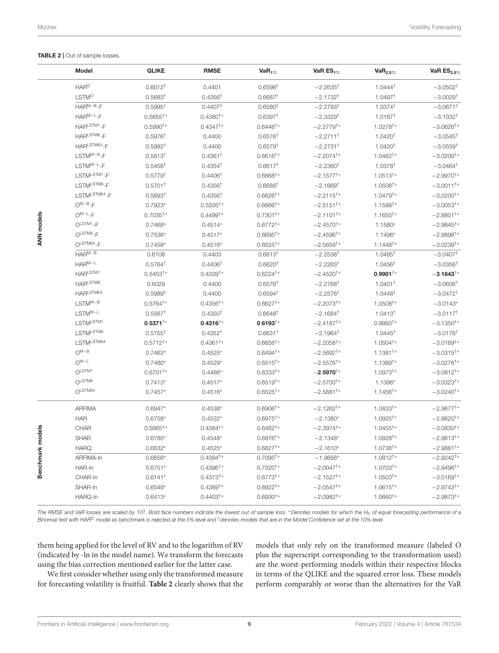<span id="page-8-0"></span>TABLE 2 | Out of sample losses.

|                      | Model                                            | <b>QLIKE</b>         | <b>RMSE</b>         | $VaR_{1%}$             | VaR $ES_{1\%}$          | $VaR_{2.5\%}$          | VaR $ES_{2.5\%}$        |
|----------------------|--------------------------------------------------|----------------------|---------------------|------------------------|-------------------------|------------------------|-------------------------|
|                      | $HAR^O$                                          | 0.6012 <sup>†</sup>  | 0.4401              | 0.6598 <sup>†</sup>    | $-2.2635$ <sup>†</sup>  | $1.0444^{\dagger}$     | $-3.0502$ <sup>†</sup>  |
|                      | <b>LSTM<sup>O</sup></b>                          | 0.5683 <sup>†</sup>  | 0.4356 <sup>†</sup> | 0.6687 <sup>†</sup>    | $-2.1732$ <sup>t</sup>  | 1.0497 <sup>+</sup>    | $-3.0029$ <sup>t</sup>  |
|                      | $HAR^{M-B}-F$                                    | 0.5995 <sup>†</sup>  | 0.4407 <sup>†</sup> | 0.6580 <sup>†</sup>    | $-2.2793^{\dagger}$     | 1.0374 <sup>†</sup>    | $-3.0671^{\dagger}$     |
|                      | $HAR^{M-L}-F$                                    | $0.5655^{\dagger*}$  | $0.4380^{\dagger*}$ | 0.6397 <sup>†</sup>    | $-2.3329$ <sup>t</sup>  | $1.0167^{\dagger}$     | $-3.1032$ <sup>t</sup>  |
|                      | HARLSTM1-F                                       | $0.5990^{\dagger}$ * | $0.4347^{\dagger*}$ | $0.6446^{\dagger*}$    | $-2.2779^{\dagger*}$    | $1.0278$ <sup>†*</sup> | $-3.0626^{\dagger*}$    |
|                      | HARLSTM8-F                                       | 0.5976 <sup>†</sup>  | 0.4400              | $0.6576^{\dagger}$     | $-2.2711$ <sup>†</sup>  | 1.0420 <sup>†</sup>    | $-3.0545^{\dagger}$     |
|                      | HARLSTM64-F                                      | 0.5992 <sup>†</sup>  | 0.4400              | 0.6579 <sup>†</sup>    | $-2.2731$ <sup>t</sup>  | 1.0420 <sup>†</sup>    | $-3.0559†$              |
|                      | $\mathsf{LSTM}^{\mathsf{M-B}}\text{-}\mathsf{F}$ | 0.5813 <sup>†</sup>  | $0.4361^+$          | $0.6616^{\dagger*}$    | $-2.2074^{\dagger*}$    | $1.0462^{\dagger}$     | $-3.0209^{\dagger*}$    |
|                      | $LSTM^{M-L}-F$                                   | 0.5458 <sup>†</sup>  | $0.4354^{\dagger}$  | 0.6617 <sup>†</sup>    | $-2.2360^{\dagger}$     | 1.0378 <sup>†</sup>    | $-3.0464^{\dagger}$     |
|                      | $LSTMLSTM1 - F$                                  | 0.5779 <sup>†</sup>  | 0.4406 <sup>†</sup> | $0.6668^{\dagger*}$    | $-2.1577^{+\ast}$       | $1.0513^{+*}$          | $-2.9970^{\dagger*}$    |
|                      | $LSTMLSTM8 - F$                                  | 0.5701 <sup>†</sup>  | $0.4356^{\dagger}$  | $0.6688^{\dagger}$     | $-2.1669$ <sup>t</sup>  | $1.0508^{\dagger*}$    | $-3.0011^{+*}$          |
|                      | LSTMLSTM64-F                                     | 0.5693 <sup>†</sup>  | $0.4356^{\dagger}$  | $0.6626^{\dagger*}$    | $-2.2115$ <sup>†*</sup> | $1.0479^{\dagger}$     | $-3.0200^{\dagger*}$    |
|                      | $O^{M-B}-F$                                      | $0.7923*$            | $0.5205^{\dagger*}$ | $0.6666^{\dagger*}$    | $-2.5151^{\dagger*}$    | $1.1599^{+*}$          | $-3.0053^{\dagger*}$    |
|                      | $O^{M-L} - F$                                    | $0.7035^{\dagger*}$  | $0.4499^{\dagger}$  | $0.7301$ <sup>+*</sup> | $-2.1101$ <sup>+*</sup> | $1.1650^{+*}$          | $-2.8801$ <sup>+*</sup> |
|                      | OLSTM1 <sub>-F</sub>                             | $0.7468*$            | $0.4514*$           | $0.6772$ <sup>+*</sup> | $-2.4570^{+*}$          | 1.1580*                | $-2.9845$ <sup>†*</sup> |
| ANN models           | OLSTM8-F                                         | $0.7536*$            | $0.4517*$           | $0.6695^{\dagger*}$    | $-2.4596^{\dagger*}$    | 1.1496*                | $-2.9898^{\dagger*}$    |
|                      | $O^{LSTM64} - F$                                 | $0.7458*$            | $0.4516*$           | $0.6525^{\dagger*}$    | $-2.5659$ <sup>†*</sup> | $1.1448^{\dagger}$     | $-3.0239$ <sup>†*</sup> |
|                      | $HAR^{M-B}$                                      | 0.6108               | 0.4403              | 0.6613 <sup>†</sup>    | $-2.2538†$              | $1.0485^{\dagger}$     | $-3.0407†$              |
|                      | $HAR^{M-L}$                                      | $0.5764^{\dagger}$   | 0.4406 <sup>†</sup> | 0.6620 <sup>†</sup>    | $-2.2263^{\dagger}$     | $1.0456^{\dagger}$     | $-3.0356^{\dagger}$     |
|                      | HARLSTM1                                         | $0.5453^{\dagger}$ * | $0.4339^{+*}$       | $0.6224$ <sup>†*</sup> | $-2.4520^{+*}$          | $0.9901^{+*}$          | $-3.1643^{\dagger}$     |
|                      | HAR <sup>LSTM8</sup>                             | 0.6029               | 0.4400              | $0.6576^{\dagger}$     | $-2.2768$ <sup>t</sup>  | $1.0401^+$             | $-3.0606^{\dagger}$     |
|                      | HARLSTM64                                        | 0.5989 <sup>†</sup>  | 0.4400              | 0.6594 <sup>†</sup>    | $-2.2576$ <sup>†</sup>  | 1.0448 <sup>t</sup>    | $-3.0472$ <sup>t</sup>  |
|                      | $LSTM^{M-B}$                                     | $0.5764^{\dagger*}$  | $0.4356^{\dagger*}$ | $0.6627$ <sup>†*</sup> | $-2.2073^{\dagger*}$    | $1.0508^{\dagger*}$    | $-3.0143*$              |
|                      | $\mathsf{LSTM}^{\mathsf{M-L}}$                   | $0.5567^{\dagger}$   | 0.4350 <sup>†</sup> | $0.6648^{\dagger}$     | $-2.1684$ <sup>t</sup>  | 1.0413 <sup>†</sup>    | $-3.0117$ <sup>t</sup>  |
|                      | LSTMLSTM1                                        | $0.5371^{+*}$        | $0.4316^{+*}$       | $0.6193^{+*}$          | $-2.4187^{\dagger*}$    | $0.9993$ <sup>†*</sup> | $-3.1350^{+*}$          |
|                      | LSTM <sup>LSTM8</sup>                            | $0.5755^{\dagger}$   | 0.4352 <sup>†</sup> | 0.6631 <sup>†</sup>    | $-2.1964$ <sup>†</sup>  | $1.0445^{\dagger}$     | $-3.0176$ <sup>t</sup>  |
|                      | LSTM <sup>LSTM64</sup>                           | $0.5712^{+*}$        | $0.4361^{\dagger*}$ | $0.6656^{\dagger*}$    | $-2.2058^{\dagger*}$    | $1.0504$ <sup>†*</sup> | $-3.0169^{\dagger*}$    |
|                      | $O^{M-B}$                                        | $0.7463*$            | $0.4525*$           | $0.6494^{\dagger*}$    | $-2.5692^{\dagger*}$    | $1.1381^{+*}$          | $-3.0315^{+\ast}$       |
|                      | $\mathrm{O^{M-L}}$                               | $0.7480*$            | $0.4529*$           | $0.6515^{+*}$          | $-2.5576$ <sup>†*</sup> | $1.1389^{+*}$          | $-3.0276^{\dagger*}$    |
|                      | O <sup>LSTM1</sup>                               | $0.6701^{+*}$        | $0.4466*$           | $0.6333^{+*}$          | $-2.5970^{\dagger\,*}$  | $1.0973^{+*}$          | $-3.0812^{+\ast}$       |
|                      | O <sub>LSTMS</sub>                               | $0.7413*$            | $0.4517*$           | $0.6519^{+*}$          | $-2.5700^{\dagger*}$    | 1.1396*                | $-3.0323^{\dagger*}$    |
|                      | OLSTM64                                          | $0.7457*$            | $0.4516*$           | $0.6525^{+*}$          | $-2.5681$ <sup>+*</sup> | $1.1456^{\dagger*}$    | $-3.0240^{\dagger*}$    |
|                      | <b>ARFIMA</b>                                    | $0.6947*$            | $0.4538*$           | $0.6906^{\dagger*}$    | $-2.1262^{\dagger*}$    | $1.0833^{+*}$          | $-2.9677$ <sup>†*</sup> |
| dels<br>Benchmark mo | <b>HAR</b>                                       | $0.6758*$            | $0.4532*$           | $0.6975$ <sup>+*</sup> | $-2.1380*$              | $1.0925^{\dagger*}$    | $-2.9620^{\dagger*}$    |
|                      | CHAR                                             | $0.5665^{\dagger*}$  | $0.4384^{\dagger*}$ | $0.6462^{\dagger}$     | $-2.3974^{\dagger*}$    | $1.0455^{\dagger}$     | $-3.0830^{\dagger*}$    |
|                      | <b>SHAR</b>                                      | $0.6785*$            | $0.4548*$           | $0.6976^{\dagger*}$    | $-2.1348*$              | $1.0928^{\dagger*}$    | $-2.9613^{\dagger*}$    |
|                      | <b>HARQ</b>                                      | $0.6632*$            | $0.4525*$           | $0.6827^{+*}$          | $-2.1610*$              | $1.0736^{\dagger*}$    | $-2.9881$ <sup>†*</sup> |
|                      | ARFIMA-In                                        | 0.6656*              | $0.4394^{\dagger*}$ | $0.7095^{\dagger*}$    | $-1.9656*$              | 1.0812 <sup>+*</sup>   | $-2.9242^{\dagger*}$    |
|                      | HAR-In                                           | $0.6751*$            | $0.4396^{\dagger*}$ | $0.7020^{\dagger*}$    | $-2.0047^{\dagger*}$    | $1.0703^{\dagger*}$    | $-2.9496^{\dagger*}$    |
|                      | CHAR-In                                          | $0.6141*$            | $0.4373^{\dagger*}$ | $0.6773$ <sup>†*</sup> | $-2.1527$ <sup>†*</sup> | $1.0503^{\dagger*}$    | $-3.0169^{\dagger*}$    |
|                      | SHAR-In                                          | $0.6549*$            | $0.4389^{+*}$       | $0.6922^{\dagger}$     | $-2.0547^{\dagger*}$    | $1.0615^{+*}$          | $-2.9743^{\dagger*}$    |
|                      | HARQ-In                                          | $0.6413*$            | $0.4403^{\dagger*}$ | $0.6930^{\dagger*}$    | $-2.0982^{\dagger*}$    | $1.0660^{\dagger*}$    | $-2.9873^{\dagger*}$    |

The RMSE and VaR losses are scaled by 10<sup>3</sup>. Bold face numbers indicate the lowest out of sample loss. \*Denotes models for which the H<sub>0</sub> of equal forecasting performance of a Binomial test with HAR<sup>O</sup> model as benchmark is rejected at the 5% level and <sup>†</sup>denotes models that are in the Model Confidence set at the 10% level.

them being applied for the level of RV and to the logarithm of RV (indicated by -ln in the model name). We transform the forecasts using the bias correction mentioned earlier for the latter case.

We first consider whether using only the transformed measure for forecasting volatility is fruitful. **[Table 2](#page-8-0)** clearly shows that the

models that only rely on the transformed measure (labeled O plus the superscript corresponding to the transformation used) are the worst-performing models within their respective blocks in terms of the QLIKE and the squared error loss. These models perform comparably or worse than the alternatives for the VaR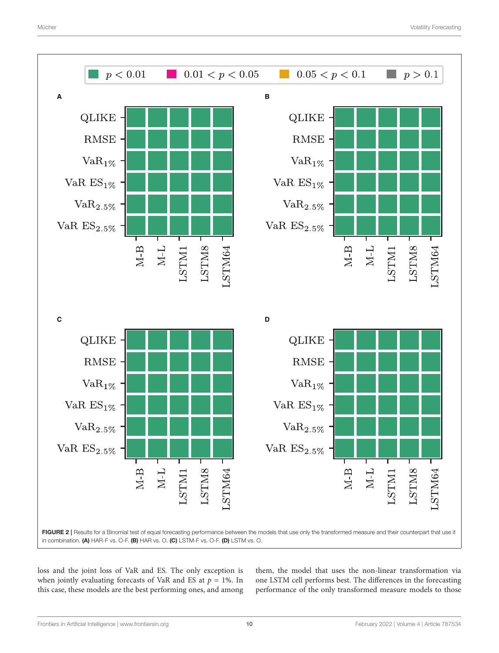

<span id="page-9-0"></span>loss and the joint loss of VaR and ES. The only exception is when jointly evaluating forecasts of VaR and ES at  $p = 1\%$ . In this case, these models are the best performing ones, and among them, the model that uses the non-linear transformation via one LSTM cell performs best. The differences in the forecasting performance of the only transformed measure models to those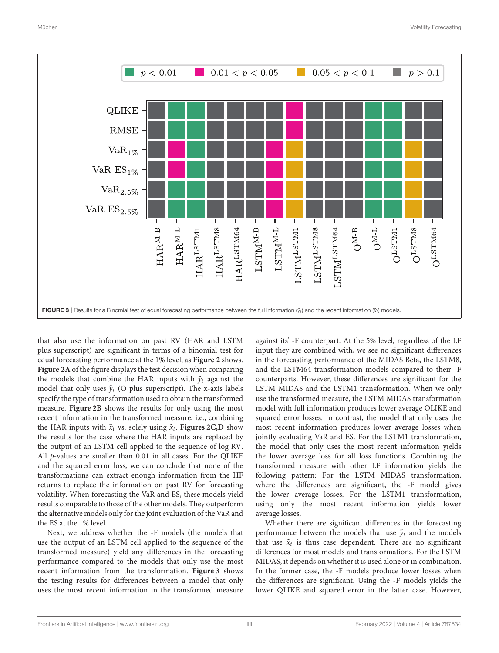

<span id="page-10-0"></span>that also use the information on past RV (HAR and LSTM plus superscript) are significant in terms of a binomial test for equal forecasting performance at the 1% level, as **[Figure 2](#page-9-0)** shows. **[Figure 2A](#page-9-0)** of the figure displays the test decision when comparing the models that combine the HAR inputs with  $\tilde{y}_t$  against the model that only uses  $\tilde{y}_t$  (O plus superscript). The x-axis labels specify the type of transformation used to obtain the transformed measure. **[Figure 2B](#page-9-0)** shows the results for only using the most recent information in the transformed measure, i.e., combining the HAR inputs with  $\tilde{x}_t$  vs. solely using  $\tilde{x}_t$ . **[Figures 2C,D](#page-9-0)** show the results for the case where the HAR inputs are replaced by the output of an LSTM cell applied to the sequence of log RV. All p-values are smaller than 0.01 in all cases. For the QLIKE and the squared error loss, we can conclude that none of the transformations can extract enough information from the HF returns to replace the information on past RV for forecasting volatility. When forecasting the VaR and ES, these models yield results comparable to those of the other models. They outperform the alternative models only for the joint evaluation of the VaR and the ES at the 1% level.

Next, we address whether the -F models (the models that use the output of an LSTM cell applied to the sequence of the transformed measure) yield any differences in the forecasting performance compared to the models that only use the most recent information from the transformation. **[Figure 3](#page-10-0)** shows the testing results for differences between a model that only uses the most recent information in the transformed measure against its' -F counterpart. At the 5% level, regardless of the LF input they are combined with, we see no significant differences in the forecasting performance of the MIDAS Beta, the LSTM8, and the LSTM64 transformation models compared to their -F counterparts. However, these differences are significant for the LSTM MIDAS and the LSTM1 transformation. When we only use the transformed measure, the LSTM MIDAS transformation model with full information produces lower average OLIKE and squared error losses. In contrast, the model that only uses the most recent information produces lower average losses when jointly evaluating VaR and ES. For the LSTM1 transformation, the model that only uses the most recent information yields the lower average loss for all loss functions. Combining the transformed measure with other LF information yields the following pattern: For the LSTM MIDAS transformation, where the differences are significant, the -F model gives the lower average losses. For the LSTM1 transformation, using only the most recent information yields lower average losses.

Whether there are significant differences in the forecasting performance between the models that use  $\tilde{y}_t$  and the models that use  $\tilde{x}_t$  is thus case dependent. There are no significant differences for most models and transformations. For the LSTM MIDAS, it depends on whether it is used alone or in combination. In the former case, the -F models produce lower losses when the differences are significant. Using the -F models yields the lower QLIKE and squared error in the latter case. However,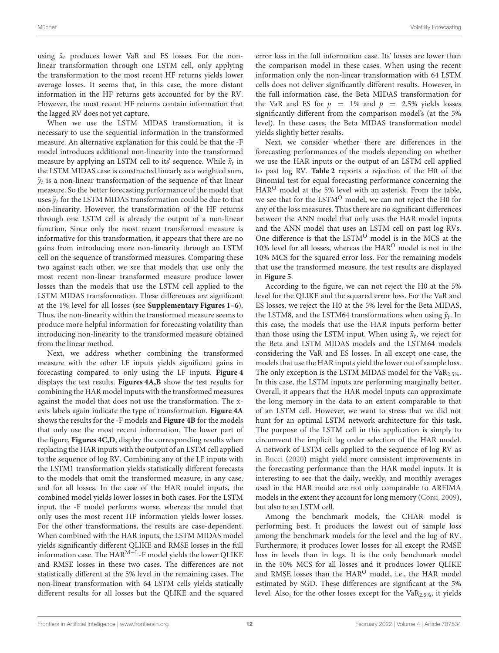using  $\tilde{x}_t$  produces lower VaR and ES losses. For the nonlinear transformation through one LSTM cell, only applying the transformation to the most recent HF returns yields lower average losses. It seems that, in this case, the more distant information in the HF returns gets accounted for by the RV. However, the most recent HF returns contain information that the lagged RV does not yet capture.

When we use the LSTM MIDAS transformation, it is necessary to use the sequential information in the transformed measure. An alternative explanation for this could be that the -F model introduces additional non-linearity into the transformed measure by applying an LSTM cell to its' sequence. While  $\tilde{x}_t$  in the LSTM MIDAS case is constructed linearly as a weighted sum,  $\tilde{y}_t$  is a non-linear transformation of the sequence of that linear measure. So the better forecasting performance of the model that uses  $\tilde{y}_t$  for the LSTM MIDAS transformation could be due to that non-linearity. However, the transformation of the HF returns through one LSTM cell is already the output of a non-linear function. Since only the most recent transformed measure is informative for this transformation, it appears that there are no gains from introducing more non-linearity through an LSTM cell on the sequence of transformed measures. Comparing these two against each other, we see that models that use only the most recent non-linear transformed measure produce lower losses than the models that use the LSTM cell applied to the LSTM MIDAS transformation. These differences are significant at the 1% level for all losses (see **[Supplementary Figures 1–6](#page-16-35)**). Thus, the non-linearity within the transformed measure seems to produce more helpful information for forecasting volatility than introducing non-linearity to the transformed measure obtained from the linear method.

Next, we address whether combining the transformed measure with the other LF inputs yields significant gains in forecasting compared to only using the LF inputs. **[Figure 4](#page-12-0)** displays the test results. **[Figures 4A,B](#page-12-0)** show the test results for combining the HAR model inputs with the transformed measures against the model that does not use the transformation. The xaxis labels again indicate the type of transformation. **[Figure 4A](#page-12-0)** shows the results for the -F models and **[Figure 4B](#page-12-0)** for the models that only use the most recent information. The lower part of the figure, **[Figures 4C,D](#page-12-0)**, display the corresponding results when replacing the HAR inputs with the output of an LSTM cell applied to the sequence of log RV. Combining any of the LF inputs with the LSTM1 transformation yields statistically different forecasts to the models that omit the transformed measure, in any case, and for all losses. In the case of the HAR model inputs, the combined model yields lower losses in both cases. For the LSTM input, the -F model performs worse, whereas the model that only uses the most recent HF information yields lower losses. For the other transformations, the results are case-dependent. When combined with the HAR inputs, the LSTM MIDAS model yields significantly different QLIKE and RMSE losses in the full information case. The  ${\rm HAR^{M-L} \text{-} F}$  model yields the lower QLIKE and RMSE losses in these two cases. The differences are not statistically different at the 5% level in the remaining cases. The non-linear transformation with 64 LSTM cells yields statically different results for all losses but the QLIKE and the squared

error loss in the full information case. Its' losses are lower than the comparison model in these cases. When using the recent information only the non-linear transformation with 64 LSTM cells does not deliver significantly different results. However, in the full information case, the Beta MIDAS transformation for the VaR and ES for  $p = 1\%$  and  $p = 2.5\%$  yields losses significantly different from the comparison model's (at the 5% level). In these cases, the Beta MIDAS transformation model yields slightly better results.

Next, we consider whether there are differences in the forecasting performances of the models depending on whether we use the HAR inputs or the output of an LSTM cell applied to past log RV. **[Table 2](#page-8-0)** reports a rejection of the H0 of the Binomial test for equal forecasting performance concerning the HAR<sup>O</sup> model at the 5% level with an asterisk. From the table, we see that for the LSTM<sup>O</sup> model, we can not reject the H0 for any of the loss measures. Thus there are no significant differences between the ANN model that only uses the HAR model inputs and the ANN model that uses an LSTM cell on past log RVs. One difference is that the LSTM<sup>O</sup> model is in the MCS at the 10% level for all losses, whereas the HAR<sup>O</sup> model is not in the 10% MCS for the squared error loss. For the remaining models that use the transformed measure, the test results are displayed in **[Figure 5](#page-13-0)**.

According to the figure, we can not reject the H0 at the 5% level for the QLIKE and the squared error loss. For the VaR and ES losses, we reject the H0 at the 5% level for the Beta MIDAS, the LSTM8, and the LSTM64 transformations when using  $\tilde{y}_t$ . In this case, the models that use the HAR inputs perform better than those using the LSTM input. When using  $\tilde{x}_t$ , we reject for the Beta and LSTM MIDAS models and the LSTM64 models considering the VaR and ES losses. In all except one case, the models that use the HAR inputs yield the lower out of sample loss. The only exception is the LSTM MIDAS model for the  $VaR<sub>2.5%</sub>$ . In this case, the LSTM inputs are performing marginally better. Overall, it appears that the HAR model inputs can approximate the long memory in the data to an extent comparable to that of an LSTM cell. However, we want to stress that we did not hunt for an optimal LSTM network architecture for this task. The purpose of the LSTM cell in this application is simply to circumvent the implicit lag order selection of the HAR model. A network of LSTM cells applied to the sequence of log RV as in [Bucci](#page-16-23) [\(2020\)](#page-16-23) might yield more consistent improvements in the forecasting performance than the HAR model inputs. It is interesting to see that the daily, weekly, and monthly averages used in the HAR model are not only comparable to ARFIMA models in the extent they account for long memory [\(Corsi, 2009\)](#page-16-7), but also to an LSTM cell.

Among the benchmark models, the CHAR model is performing best. It produces the lowest out of sample loss among the benchmark models for the level and the log of RV. Furthermore, it produces lower losses for all except the RMSE loss in levels than in logs. It is the only benchmark model in the 10% MCS for all losses and it produces lower QLIKE and RMSE losses than the HAR<sup>O</sup> model, i.e., the HAR model estimated by SGD. These differences are significant at the 5% level. Also, for the other losses except for the VaR2.5%, it yields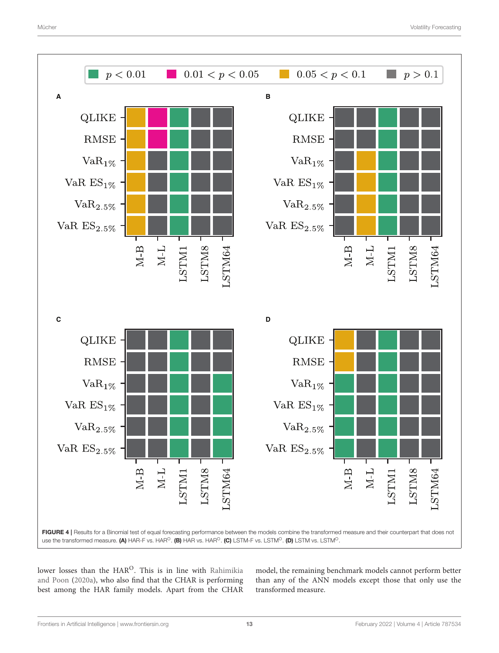

<span id="page-12-0"></span>lower losses than the HAR<sup>O</sup>. This is in line with Rahimikia and Poon [\(2020a\)](#page-17-15), who also find that the CHAR is performing best among the HAR family models. Apart from the CHAR

model, the remaining benchmark models cannot perform better than any of the ANN models except those that only use the transformed measure.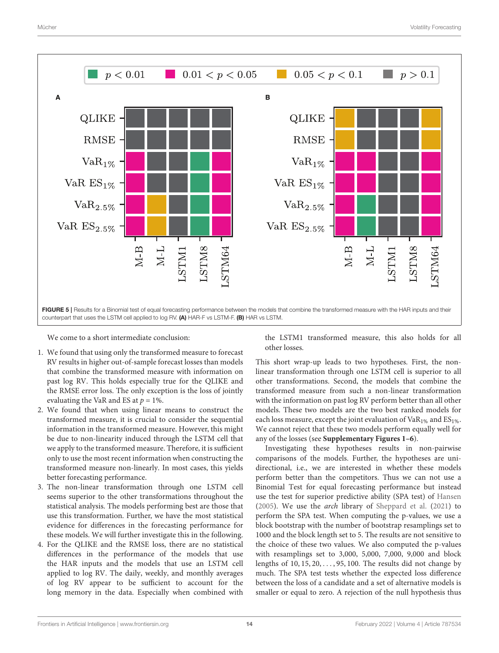

<span id="page-13-0"></span>We come to a short intermediate conclusion:

- 1. We found that using only the transformed measure to forecast RV results in higher out-of-sample forecast losses than models that combine the transformed measure with information on past log RV. This holds especially true for the QLIKE and the RMSE error loss. The only exception is the loss of jointly evaluating the VaR and ES at  $p = 1\%$ .
- 2. We found that when using linear means to construct the transformed measure, it is crucial to consider the sequential information in the transformed measure. However, this might be due to non-linearity induced through the LSTM cell that we apply to the transformed measure. Therefore, it is sufficient only to use the most recent information when constructing the transformed measure non-linearly. In most cases, this yields better forecasting performance.
- 3. The non-linear transformation through one LSTM cell seems superior to the other transformations throughout the statistical analysis. The models performing best are those that use this transformation. Further, we have the most statistical evidence for differences in the forecasting performance for these models. We will further investigate this in the following.
- 4. For the QLIKE and the RMSE loss, there are no statistical differences in the performance of the models that use the HAR inputs and the models that use an LSTM cell applied to log RV. The daily, weekly, and monthly averages of log RV appear to be sufficient to account for the long memory in the data. Especially when combined with

the LSTM1 transformed measure, this also holds for all other losses.

This short wrap-up leads to two hypotheses. First, the nonlinear transformation through one LSTM cell is superior to all other transformations. Second, the models that combine the transformed measure from such a non-linear transformation with the information on past log RV perform better than all other models. These two models are the two best ranked models for each loss measure, except the joint evaluation of  $VaR_{1%}$  and  $ES_{1%}$ . We cannot reject that these two models perform equally well for any of the losses (see **[Supplementary Figures 1–6](#page-16-35)**).

Investigating these hypotheses results in non-pairwise comparisons of the models. Further, the hypotheses are unidirectional, i.e., we are interested in whether these models perform better than the competitors. Thus we can not use a Binomial Test for equal forecasting performance but instead use the test for superior predictive ability (SPA test) of [Hansen](#page-17-26) [\(2005\)](#page-17-26). We use the arch library of [Sheppard et al.](#page-17-25) [\(2021\)](#page-17-25) to perform the SPA test. When computing the p-values, we use a block bootstrap with the number of bootstrap resamplings set to 1000 and the block length set to 5. The results are not sensitive to the choice of these two values. We also computed the p-values with resamplings set to 3,000, 5,000, 7,000, 9,000 and block lengths of  $10, 15, 20, \ldots, 95, 100$ . The results did not change by much. The SPA test tests whether the expected loss difference between the loss of a candidate and a set of alternative models is smaller or equal to zero. A rejection of the null hypothesis thus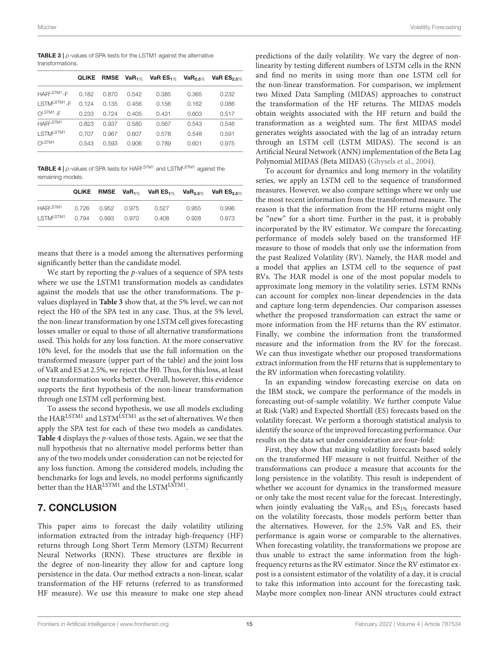<span id="page-14-0"></span>**TABLE 3**  $\vert p$ -values of SPA tests for the LSTM1 against the alternative transformations.

|                         | <b>QLIKE</b> |       | RMSE $VaR_{1\%}$ | VaR $ES_{1\%}$ | $VaR_{2.5\%}$ | VaR $ES_{2.5\%}$ |
|-------------------------|--------------|-------|------------------|----------------|---------------|------------------|
| HARLSTM <sub>1-F</sub>  | 0.182        | 0.870 | 0.542            | 0.385          | 0.365         | 0.232            |
| LSTMLSTM1 <sub>-F</sub> | 0.124        | 0.135 | 0.456            | 0.156          | 0.162         | 0.086            |
| $OLSTM1-F$              | 0.233        | 0.724 | 0.405            | 0.431          | 0.603         | 0.517            |
| HARLSTM1                | 0.823        | 0.937 | 0.580            | 0.567          | 0.543         | 0.546            |
| LSTM <sup>LSTM1</sup>   | 0.707        | 0.967 | 0.607            | 0.578          | 0.548         | 0.591            |
| O <sub>LSTM1</sub>      | 0.543        | 0.593 | 0.906            | 0.789          | 0.601         | 0.975            |

<span id="page-14-1"></span>TABLE 4 | p-values of SPA tests for HARLSTM1 and LSTMLSTM1 against the remaining models.

|                       |             |             |       |       | QLIKE RMSE VaR <sub>1%</sub> VaR ES <sub>1%</sub> VaR <sub>2.5%</sub> VaR ES <sub>2.5%</sub> |
|-----------------------|-------------|-------------|-------|-------|----------------------------------------------------------------------------------------------|
| HAR <sup>LSTM1</sup>  | 0.726       | 0.952 0.975 | 0.527 | 0.955 | 0.996                                                                                        |
| LSTM <sup>LSTM1</sup> | 0.794 0.993 | 0.970       | 0.408 | 0.928 | 0.973                                                                                        |

means that there is a model among the alternatives performing significantly better than the candidate model.

We start by reporting the *p*-values of a sequence of SPA tests where we use the LSTM1 transformation models as candidates against the models that use the other transformations. The pvalues displayed in **[Table 3](#page-14-0)** show that, at the 5% level, we can not reject the H0 of the SPA test in any case. Thus, at the 5% level, the non-linear transformation by one LSTM cell gives forecasting losses smaller or equal to those of all alternative transformations used. This holds for any loss function. At the more conservative 10% level, for the models that use the full information on the transformed measure (upper part of the table) and the joint loss of VaR and ES at 2.5%, we reject the H0. Thus, for this loss, at least one transformation works better. Overall, however, this evidence supports the first hypothesis of the non-linear transformation through one LSTM cell performing best.

To assess the second hypothesis, we use all models excluding the HAR<sup>LSTM1</sup> and LSTM<sup>LSTM1</sup> as the set of alternatives. We then apply the SPA test for each of these two models as candidates. **[Table 4](#page-14-1)** displays the p-values of those tests. Again, we see that the null hypothesis that no alternative model performs better than any of the two models under consideration can not be rejected for any loss function. Among the considered models, including the benchmarks for logs and levels, no model performs significantly better than the  $\text{HAR}^{\text{LSTM1}}$  and the LSTM $^{\text{LSTM1}}$ .

# 7. CONCLUSION

This paper aims to forecast the daily volatility utilizing information extracted from the intraday high-frequency (HF) returns through Long Short Term Memory (LSTM) Recurrent Neural Networks (RNN). These structures are flexible in the degree of non-linearity they allow for and capture long persistence in the data. Our method extracts a non-linear, scalar transformation of the HF returns (referred to as transformed HF measure). We use this measure to make one step ahead

predictions of the daily volatility. We vary the degree of nonlinearity by testing different numbers of LSTM cells in the RNN and find no merits in using more than one LSTM cell for the non-linear transformation. For comparison, we implement two Mixed Data Sampling (MIDAS) approaches to construct the transformation of the HF returns. The MIDAS models obtain weights associated with the HF return and build the transformation as a weighted sum. The first MIDAS model generates weights associated with the lag of an intraday return through an LSTM cell (LSTM MIDAS). The second is an Artificial Neural Network (ANN) implementation of the Beta Lag Polynomial MIDAS (Beta MIDAS) [\(Ghysels et al., 2004\)](#page-16-11).

To account for dynamics and long memory in the volatility series, we apply an LSTM cell to the sequence of transformed measures. However, we also compare settings where we only use the most recent information from the transformed measure. The reason is that the information from the HF returns might only be "new" for a short time. Further in the past, it is probably incorporated by the RV estimator. We compare the forecasting performance of models solely based on the transformed HF measure to those of models that only use the information from the past Realized Volatility (RV). Namely, the HAR model and a model that applies an LSTM cell to the sequence of past RVs. The HAR model is one of the most popular models to approximate long memory in the volatility series. LSTM RNNs can account for complex non-linear dependencies in the data and capture long-term dependencies. Our comparison assesses whether the proposed transformation can extract the same or more information from the HF returns than the RV estimator. Finally, we combine the information from the transformed measure and the information from the RV for the forecast. We can thus investigate whether our proposed transformations extract information from the HF returns that is supplementary to the RV information when forecasting volatility.

In an expanding window forecasting exercise on data on the IBM stock, we compare the performance of the models in forecasting out-of-sample volatility. We further compute Value at Risk (VaR) and Expected Shortfall (ES) forecasts based on the volatility forecast. We perform a thorough statistical analysis to identify the source of the improved forecasting performance. Our results on the data set under consideration are four-fold:

First, they show that making volatility forecasts based solely on the transformed HF measure is not fruitful. Neither of the transformations can produce a measure that accounts for the long persistence in the volatility. This result is independent of whether we account for dynamics in the transformed measure or only take the most recent value for the forecast. Interestingly, when jointly evaluating the VaR<sub>1%</sub> and  $ES_{1%}$  forecasts based on the volatility forecasts, those models perform better than the alternatives. However, for the 2.5% VaR and ES, their performance is again worse or comparable to the alternatives. When forecasting volatility, the transformations we propose are thus unable to extract the same information from the highfrequency returns as the RV estimator. Since the RV estimator expost is a consistent estimator of the volatility of a day, it is crucial to take this information into account for the forecasting task. Maybe more complex non-linear ANN structures could extract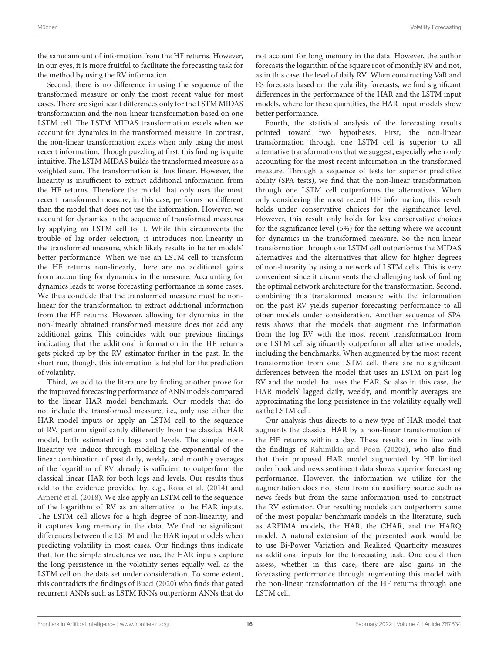the same amount of information from the HF returns. However, in our eyes, it is more fruitful to facilitate the forecasting task for the method by using the RV information.

Second, there is no difference in using the sequence of the transformed measure or only the most recent value for most cases. There are significant differences only for the LSTM MIDAS transformation and the non-linear transformation based on one LSTM cell. The LSTM MIDAS transformation excels when we account for dynamics in the transformed measure. In contrast, the non-linear transformation excels when only using the most recent information. Though puzzling at first, this finding is quite intuitive. The LSTM MIDAS builds the transformed measure as a weighted sum. The transformation is thus linear. However, the linearity is insufficient to extract additional information from the HF returns. Therefore the model that only uses the most recent transformed measure, in this case, performs no different than the model that does not use the information. However, we account for dynamics in the sequence of transformed measures by applying an LSTM cell to it. While this circumvents the trouble of lag order selection, it introduces non-linearity in the transformed measure, which likely results in better models' better performance. When we use an LSTM cell to transform the HF returns non-linearly, there are no additional gains from accounting for dynamics in the measure. Accounting for dynamics leads to worse forecasting performance in some cases. We thus conclude that the transformed measure must be nonlinear for the transformation to extract additional information from the HF returns. However, allowing for dynamics in the non-linearly obtained transformed measure does not add any additional gains. This coincides with our previous findings indicating that the additional information in the HF returns gets picked up by the RV estimator further in the past. In the short run, though, this information is helpful for the prediction of volatility.

Third, we add to the literature by finding another prove for the improved forecasting performance of ANN models compared to the linear HAR model benchmark. Our models that do not include the transformed measure, i.e., only use either the HAR model inputs or apply an LSTM cell to the sequence of RV, perform significantly differently from the classical HAR model, both estimated in logs and levels. The simple nonlinearity we induce through modeling the exponential of the linear combination of past daily, weekly, and monthly averages of the logarithm of RV already is sufficient to outperform the classical linear HAR for both logs and levels. Our results thus add to the evidence provided by, e.g., [Rosa et al.](#page-17-11) [\(2014\)](#page-17-11) and [Arneric et al.](#page-16-20) [\(2018\)](#page-16-20). We also apply an LSTM cell to the sequence of the logarithm of RV as an alternative to the HAR inputs. The LSTM cell allows for a high degree of non-linearity, and it captures long memory in the data. We find no significant differences between the LSTM and the HAR input models when predicting volatility in most cases. Our findings thus indicate that, for the simple structures we use, the HAR inputs capture the long persistence in the volatility series equally well as the LSTM cell on the data set under consideration. To some extent, this contradicts the findings of [Bucci](#page-16-23) [\(2020\)](#page-16-23) who finds that gated recurrent ANNs such as LSTM RNNs outperform ANNs that do

not account for long memory in the data. However, the author forecasts the logarithm of the square root of monthly RV and not, as in this case, the level of daily RV. When constructing VaR and ES forecasts based on the volatility forecasts, we find significant differences in the performance of the HAR and the LSTM input models, where for these quantities, the HAR input models show better performance.

Fourth, the statistical analysis of the forecasting results pointed toward two hypotheses. First, the non-linear transformation through one LSTM cell is superior to all alternative transformations that we suggest, especially when only accounting for the most recent information in the transformed measure. Through a sequence of tests for superior predictive ability (SPA tests), we find that the non-linear transformation through one LSTM cell outperforms the alternatives. When only considering the most recent HF information, this result holds under conservative choices for the significance level. However, this result only holds for less conservative choices for the significance level (5%) for the setting where we account for dynamics in the transformed measure. So the non-linear transformation through one LSTM cell outperforms the MIDAS alternatives and the alternatives that allow for higher degrees of non-linearity by using a network of LSTM cells. This is very convenient since it circumvents the challenging task of finding the optimal network architecture for the transformation. Second, combining this transformed measure with the information on the past RV yields superior forecasting performance to all other models under consideration. Another sequence of SPA tests shows that the models that augment the information from the log RV with the most recent transformation from one LSTM cell significantly outperform all alternative models, including the benchmarks. When augmented by the most recent transformation from one LSTM cell, there are no significant differences between the model that uses an LSTM on past log RV and the model that uses the HAR. So also in this case, the HAR models' lagged daily, weekly, and monthly averages are approximating the long persistence in the volatility equally well as the LSTM cell.

Our analysis thus directs to a new type of HAR model that augments the classical HAR by a non-linear transformation of the HF returns within a day. These results are in line with the findings of [Rahimikia and Poon](#page-17-15) [\(2020a\)](#page-17-15), who also find that their proposed HAR model augmented by HF limited order book and news sentiment data shows superior forecasting performance. However, the information we utilize for the augmentation does not stem from an auxiliary source such as news feeds but from the same information used to construct the RV estimator. Our resulting models can outperform some of the most popular benchmark models in the literature, such as ARFIMA models, the HAR, the CHAR, and the HARQ model. A natural extension of the presented work would be to use Bi-Power Variation and Realized Quarticity measures as additional inputs for the forecasting task. One could then assess, whether in this case, there are also gains in the forecasting performance through augmenting this model with the non-linear transformation of the HF returns through one LSTM cell.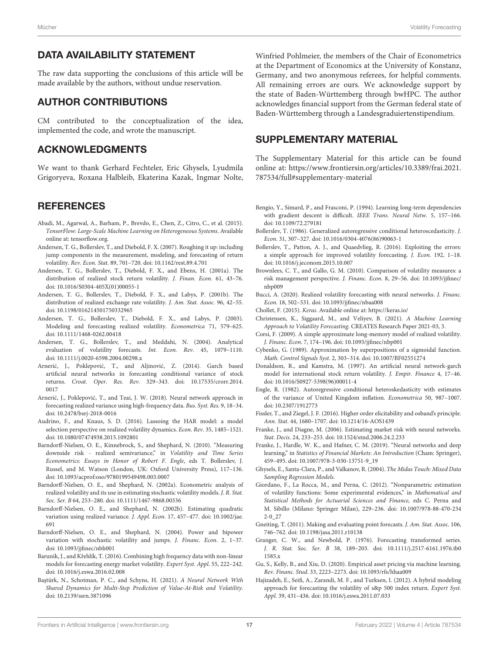# DATA AVAILABILITY STATEMENT

The raw data supporting the conclusions of this article will be made available by the authors, without undue reservation.

# AUTHOR CONTRIBUTIONS

CM contributed to the conceptualization of the idea, implemented the code, and wrote the manuscript.

# ACKNOWLEDGMENTS

We want to thank Gerhard Fechteler, Eric Ghysels, Lyudmila Grigoryeva, Roxana Halbleib, Ekaterina Kazak, Ingmar Nolte,

# **REFERENCES**

- <span id="page-16-31"></span>Abadi, M., Agarwal, A., Barham, P., Brevdo, E., Chen, Z., Citro, C., et al. (2015). TensorFlow: Large-Scale Machine Learning on Heterogeneous Systems. Available online at: tensorflow.org.
- <span id="page-16-8"></span>Andersen, T. G., Bollerslev, T., and Diebold, F. X. (2007). Roughing it up: including jump components in the measurement, modeling, and forecasting of return volatility. Rev. Econ. Stat. 89, 701–720. doi: [10.1162/rest.89.4.701](https://doi.org/10.1162/rest.89.4.701)
- <span id="page-16-3"></span>Andersen, T. G., Bollerslev, T., Diebold, F. X., and Ebens, H. (2001a). The distribution of realized stock return volatility. J. Finan. Econ. 61, 43–76. doi: [10.1016/S0304-405X\(01\)00055-1](https://doi.org/10.1016/S0304-405X(01)00055-1)
- <span id="page-16-4"></span>Andersen, T. G., Bollerslev, T., Diebold, F. X., and Labys, P. (2001b). The distribution of realized exchange rate volatility. J. Am. Stat. Assoc. 96, 42–55. doi: [10.1198/016214501750332965](https://doi.org/10.1198/016214501750332965)
- <span id="page-16-27"></span>Andersen, T. G., Bollerslev, T., Diebold, F. X., and Labys, P. (2003). Modeling and forecasting realized volatility. Econometrica 71, 579–625. doi: [10.1111/1468-0262.00418](https://doi.org/10.1111/1468-0262.00418)
- <span id="page-16-2"></span>Andersen, T. G., Bollerslev, T., and Meddahi, N. (2004). Analytical evaluation of volatility forecasts. Int. Econ. Rev. 45, 1079–1110. doi: [10.1111/j.0020-6598.2004.00298.x](https://doi.org/10.1111/j.0020-6598.2004.00298.x)
- <span id="page-16-17"></span>Arnerić, J., Poklepović, T., and Aljinović, Z. (2014). Garch based artificial neural networks in forecasting conditional variance of stock returns. Croat. Oper. Res. Rev[. 329–343. doi: 10.17535/crorr.2014.](https://doi.org/10.17535/crorr.2014.0017) 0017
- <span id="page-16-20"></span>Arnerić, J., Poklepović, T., and Teai, J. W. (2018). Neural network approach in forecasting realized variance using high-frequency data. Bus. Syst. Res. 9, 18–34. doi: [10.2478/bsrj-2018-0016](https://doi.org/10.2478/bsrj-2018-0016)
- <span id="page-16-25"></span>Audrino, F., and Knaus, S. D. (2016). Lassoing the HAR model: a model selection perspective on realized volatility dynamics. Econ. Rev. 35, 1485–1521. doi: [10.1080/07474938.2015.1092801](https://doi.org/10.1080/07474938.2015.1092801)
- <span id="page-16-29"></span>Barndorff-Nielsen, O. E., Kinnebrock, S., and Shephard, N. (2010). "Measuring downside risk - realized semivariance," in Volatility and Time Series Econometrics: Essays in Honor of Robert F. Engle, eds T. Bollerslev, J. Russel, and M. Watson (London, UK: Oxford University Press), 117–136. doi: [10.1093/acprof:oso/9780199549498.003.0007](https://doi.org/10.1093/acprof:oso/9780199549498.003.0007)
- <span id="page-16-5"></span>Barndorff-Nielsen, O. E., and Shephard, N. (2002a). Econometric analysis of realized volatility and its use in estimating stochastic volatility models. J. R. Stat. Soc. Ser. B 64, 253–280. doi: [10.1111/1467-9868.00336](https://doi.org/10.1111/1467-9868.00336)
- <span id="page-16-6"></span>Barndorff-Nielsen, O. E., and Shephard, N. (2002b). Estimating quadratic [variation using realized variance.](https://doi.org/10.1002/jae.691) J. Appl. Econ. 17, 457–477. doi: 10.1002/jae. 691
- <span id="page-16-28"></span>Barndorff-Nielsen, O. E., and Shephard, N. (2004). Power and bipower variation with stochastic volatility and jumps. J. Financ. Econ. 2, 1–37. doi: [10.1093/jjfinec/nbh001](https://doi.org/10.1093/jjfinec/nbh001)
- <span id="page-16-19"></span>Baruník, J., and Křehlík, T. (2016). Combining high frequency data with non-linear models for forecasting energy market volatility. Expert Syst. Appl. 55, 222–242. doi: [10.1016/j.eswa.2016.02.008](https://doi.org/10.1016/j.eswa.2016.02.008)
- <span id="page-16-22"></span>Baştürk, N., Schotman, P. C., and Schyns, H. (2021). A Neural Network With Shared Dynamics for Multi-Step Prediction of Value-At-Risk and Volatility. doi: [10.2139/ssrn.3871096](https://doi.org/10.2139/ssrn.3871096)

Winfried Pohlmeier, the members of the Chair of Econometrics at the Department of Economics at the University of Konstanz, Germany, and two anonymous referees, for helpful comments. All remaining errors are ours. We acknowledge support by the state of Baden-Württemberg through bwHPC. The author acknowledges financial support from the German federal state of Baden-Württemberg through a Landesgraduiertenstipendium.

# SUPPLEMENTARY MATERIAL

<span id="page-16-35"></span>The Supplementary Material for this article can be found [online at: https://www.frontiersin.org/articles/10.3389/frai.2021.](https://www.frontiersin.org/articles/10.3389/frai.2021.787534/full#supplementary-material) 787534/full#supplementary-material

- <span id="page-16-24"></span>Bengio, Y., Simard, P., and Frasconi, P. (1994). Learning long-term dependencies with gradient descent is difficult. IEEE Trans. Neural Netw. 5, 157–166. doi: [10.1109/72.279181](https://doi.org/10.1109/72.279181)
- <span id="page-16-1"></span>Bollerslev, T. (1986). Generalized autoregressive conditional heteroscedasticity. J. Econ. 31, 307–327. doi: [10.1016/0304-4076\(86\)90063-1](https://doi.org/10.1016/0304-4076(86)90063-1)
- <span id="page-16-9"></span>Bollerslev, T., Patton, A. J., and Quaedvlieg, R. (2016). Exploiting the errors: a simple approach for improved volatility forecasting. J. Econ. 192, 1–18. doi: [10.1016/j.jeconom.2015.10.007](https://doi.org/10.1016/j.jeconom.2015.10.007)
- <span id="page-16-32"></span>Brownlees, C. T., and Gallo, G. M. (2010). Comparison of volatility measures: a risk management perspective. J. Financ. Econ[. 8, 29–56. doi: 10.1093/jjfinec/](https://doi.org/10.1093/jjfinec/nbp009) nbp009
- <span id="page-16-23"></span>Bucci, A. (2020). Realized volatility forecasting with neural networks. J. Financ. Econ. 18, 502–531. doi: [10.1093/jjfinec/nbaa008](https://doi.org/10.1093/jjfinec/nbaa008)
- <span id="page-16-30"></span>Chollet, F. (2015). Keras. Available online at:<https://keras.io/>
- <span id="page-16-21"></span>Christensen, K., Siggaard, M., and Veliyev, B. (2021). A Machine Learning Approach to Volatility Forecasting. CREATES Research Paper 2021-03, 3.
- <span id="page-16-7"></span>Corsi, F. (2009). A simple approximate long-memory model of realized volatility. J. Financ. Econ. 7, 174–196. doi: [10.1093/jjfinec/nbp001](https://doi.org/10.1093/jjfinec/nbp001)
- <span id="page-16-10"></span>Cybenko, G. (1989). Approximation by superpositions of a sigmoidal function. Math. Control Signals Syst. 2, 303–314. doi: [10.1007/BF02551274](https://doi.org/10.1007/BF02551274)
- <span id="page-16-13"></span>Donaldson, R., and Kamstra, M. (1997). An artificial neural network-garch model for international stock return volatility. J. Empir. Finance 4, 17–46. doi: [10.1016/S0927-5398\(96\)00011-4](https://doi.org/10.1016/S0927-5398(96)00011-4)
- <span id="page-16-0"></span>Engle, R. (1982). Autoregressive conditional heteroskedasticity with estimates of the variance of United Kingdom inflation. Econometrica 50, 987–1007. doi: [10.2307/1912773](https://doi.org/10.2307/1912773)
- <span id="page-16-34"></span>Fissler, T., and Ziegel, J. F. (2016). Higher order elicitability and osband's principle. Ann. Stat. 44, 1680–1707. doi: [10.1214/16-AOS1439](https://doi.org/10.1214/16-AOS1439)
- <span id="page-16-14"></span>Franke, J., and Diagne, M. (2006). Estimating market risk with neural networks. Stat. Decis. 24, 233–253. doi: [10.1524/stnd.2006.24.2.233](https://doi.org/10.1524/stnd.2006.24.2.233)
- <span id="page-16-16"></span>Franke, J., Hardle, W. K., and Hafner, C. M. (2019). "Neural networks and deep learning," in Statistics of Financial Markets: An Introduction (Cham: Springer), 459–495. doi: [10.1007/978-3-030-13751-9\\_19](https://doi.org/10.1007/978-3-030-13751-9_19)
- <span id="page-16-11"></span>Ghysels, E., Santa-Clara, P., and Valkanov, R. (2004). The Midas Touch: Mixed Data Sampling Regression Models.
- <span id="page-16-15"></span>Giordano, F., La Rocca, M., and Perna, C. (2012). "Nonparametric estimation of volatility functions: Some experimental evidences," in Mathematical and Statistical Methods for Actuarial Sciences and Finance, eds C. Perna and [M. Sibillo \(Milano: Springer Milan\), 229–236. doi: 10.1007/978-88-470-234](https://doi.org/10.1007/978-88-470-2342-0_27) 2-0\_27
- <span id="page-16-33"></span>Gneiting, T. (2011). Making and evaluating point forecasts. J. Am. Stat. Assoc. 106, 746–762. doi: [10.1198/jasa.2011.r10138](https://doi.org/10.1198/jasa.2011.r10138)
- <span id="page-16-26"></span>Granger, C. W., and Newbold, P. (1976). Forecasting transformed series. J. R. Stat. Soc. Ser. B [38, 189–203. doi: 10.1111/j.2517-6161.1976.tb0](https://doi.org/10.1111/j.2517-6161.1976.tb01585.x) 1585.x
- <span id="page-16-12"></span>Gu, S., Kelly, B., and Xiu, D. (2020). Empirical asset pricing via machine learning. Rev. Financ. Stud. 33, 2223–2273. doi: [10.1093/rfs/hhaa009](https://doi.org/10.1093/rfs/hhaa009)
- <span id="page-16-18"></span>Hajizadeh, E., Seifi, A., Zarandi, M. F., and Turksen, I. (2012). A hybrid modeling approach for forecasting the volatility of s&p 500 index return. Expert Syst. Appl. 39, 431–436. doi: [10.1016/j.eswa.2011.07.033](https://doi.org/10.1016/j.eswa.2011.07.033)